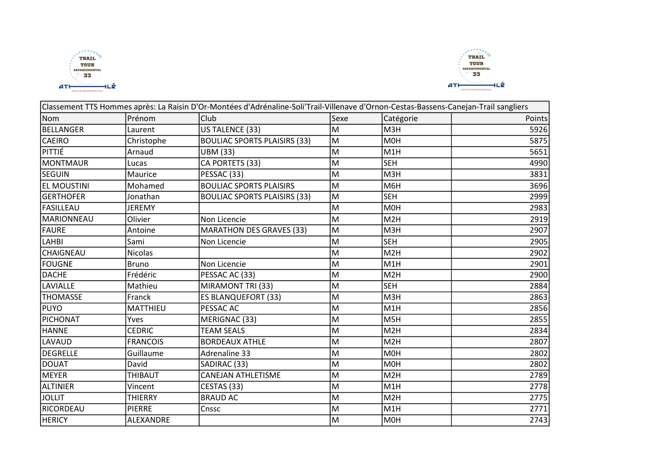



|                    |                 | Classement TTS Hommes après: La Raisin D'Or-Montées d'Adrénaline-Soli'Trail-Villenave d'Ornon-Cestas-Bassens-Canejan-Trail sangliers |      |                  |               |
|--------------------|-----------------|--------------------------------------------------------------------------------------------------------------------------------------|------|------------------|---------------|
| Nom                | Prénom          | <b>Club</b>                                                                                                                          | Sexe | Catégorie        | <b>Points</b> |
| <b>BELLANGER</b>   | Laurent         | US TALENCE (33)                                                                                                                      | M    | M <sub>3</sub> H | 5926          |
| <b>CAEIRO</b>      | Christophe      | <b>BOULIAC SPORTS PLAISIRS (33)</b>                                                                                                  | lм   | <b>MOH</b>       | 5875          |
| PITTIÉ             | Arnaud          | <b>UBM (33)</b>                                                                                                                      | lм   | M <sub>1</sub> H | 5651          |
| <b>MONTMAUR</b>    | Lucas           | CA PORTETS (33)                                                                                                                      | M    | <b>SEH</b>       | 4990          |
| <b>SEGUIN</b>      | Maurice         | PESSAC (33)                                                                                                                          | M    | M3H              | 3831          |
| <b>EL MOUSTINI</b> | Mohamed         | <b>BOULIAC SPORTS PLAISIRS</b>                                                                                                       | M    | M6H              | 3696          |
| <b>GERTHOFER</b>   | Jonathan        | <b>BOULIAC SPORTS PLAISIRS (33)</b>                                                                                                  | M    | <b>SEH</b>       | 2999          |
| <b>FASILLEAU</b>   | <b>JEREMY</b>   |                                                                                                                                      | M    | MOH              | 2983          |
| <b>MARIONNEAU</b>  | Olivier         | Non Licencie                                                                                                                         | M    | M2H              | 2919          |
| <b>FAURE</b>       | Antoine         | <b>MARATHON DES GRAVES (33)</b>                                                                                                      | M    | M <sub>3H</sub>  | 2907          |
| <b>LAHBI</b>       | Sami            | Non Licencie                                                                                                                         | M    | <b>SEH</b>       | 2905          |
| CHAIGNEAU          | <b>Nicolas</b>  |                                                                                                                                      | M    | M2H              | 2902          |
| <b>FOUGNE</b>      | <b>Bruno</b>    | Non Licencie                                                                                                                         | M    | M <sub>1</sub> H | 2901          |
| <b>DACHE</b>       | Frédéric        | PESSAC AC (33)                                                                                                                       | M    | M2H              | 2900          |
| LAVIALLE           | Mathieu         | MIRAMONT TRI (33)                                                                                                                    | M    | <b>SEH</b>       | 2884          |
| <b>THOMASSE</b>    | Franck          | <b>ES BLANQUEFORT (33)</b>                                                                                                           | M    | M <sub>3</sub> H | 2863          |
| <b>PUYO</b>        | MATTHIEU        | PESSAC AC                                                                                                                            | M    | M <sub>1</sub> H | 2856          |
| PICHONAT           | Yves            | MERIGNAC (33)                                                                                                                        | M    | M <sub>5H</sub>  | 2855          |
| <b>HANNE</b>       | <b>CEDRIC</b>   | <b>TEAM SEALS</b>                                                                                                                    | M    | M <sub>2</sub> H | 2834          |
| LAVAUD             | <b>FRANCOIS</b> | <b>BORDEAUX ATHLE</b>                                                                                                                | M    | M2H              | 2807          |
| <b>DEGRELLE</b>    | Guillaume       | <b>Adrenaline 33</b>                                                                                                                 | M    | <b>MOH</b>       | 2802          |
| <b>DOUAT</b>       | David           | SADIRAC (33)                                                                                                                         | M    | <b>MOH</b>       | 2802          |
| <b>MEYER</b>       | THIBAUT         | <b>CANEJAN ATHLETISME</b>                                                                                                            | M    | M <sub>2H</sub>  | 2789          |
| <b>ALTINIER</b>    | Vincent         | CESTAS (33)                                                                                                                          | M    | M1H              | 2778          |
| <b>JOLLIT</b>      | <b>THIERRY</b>  | <b>BRAUD AC</b>                                                                                                                      | M    | M2H              | 2775          |
| RICORDEAU          | <b>PIERRE</b>   | Cnssc                                                                                                                                | M    | M1H              | 2771          |
| <b>HERICY</b>      | ALEXANDRE       |                                                                                                                                      | M    | M <sub>OH</sub>  | 2743          |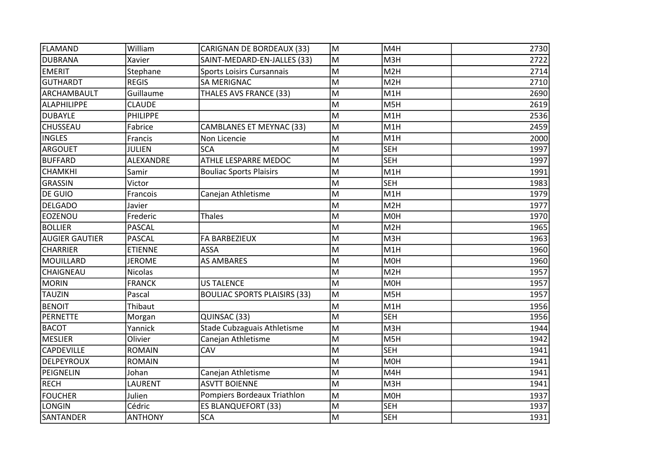| <b>FLAMAND</b>        | William         | <b>CARIGNAN DE BORDEAUX (33)</b>    | M | M4H              | 2730 |
|-----------------------|-----------------|-------------------------------------|---|------------------|------|
| <b>DUBRANA</b>        | Xavier          | SAINT-MEDARD-EN-JALLES (33)         | M | M3H              | 2722 |
| <b>EMERIT</b>         | Stephane        | Sports Loisirs Cursannais           | M | M <sub>2</sub> H | 2714 |
| <b>GUTHARDT</b>       | <b>REGIS</b>    | <b>SA MERIGNAC</b>                  | M | M <sub>2</sub> H | 2710 |
| ARCHAMBAULT           | Guillaume       | THALES AVS FRANCE (33)              | M | M1H              | 2690 |
| <b>ALAPHILIPPE</b>    | <b>CLAUDE</b>   |                                     | M | M5H              | 2619 |
| <b>DUBAYLE</b>        | <b>PHILIPPE</b> |                                     | M | M1H              | 2536 |
| CHUSSEAU              | Fabrice         | CAMBLANES ET MEYNAC (33)            | M | M <sub>1</sub> H | 2459 |
| <b>INGLES</b>         | Francis         | Non Licencie                        | M | M <sub>1</sub> H | 2000 |
| <b>ARGOUET</b>        | <b>JULIEN</b>   | <b>SCA</b>                          | M | <b>SEH</b>       | 1997 |
| <b>BUFFARD</b>        | ALEXANDRE       | ATHLE LESPARRE MEDOC                | M | <b>SEH</b>       | 1997 |
| CHAMKHI               | Samir           | <b>Bouliac Sports Plaisirs</b>      | M | M <sub>1</sub> H | 1991 |
| <b>GRASSIN</b>        | Victor          |                                     | M | <b>SEH</b>       | 1983 |
| DE GUIO               | Francois        | Canejan Athletisme                  | M | M1H              | 1979 |
| <b>DELGADO</b>        | Javier          |                                     | M | M <sub>2</sub> H | 1977 |
| EOZENOU               | Frederic        | <b>Thales</b>                       | M | M <sub>OH</sub>  | 1970 |
| <b>BOLLIER</b>        | <b>PASCAL</b>   |                                     | M | M <sub>2</sub> H | 1965 |
| <b>AUGIER GAUTIER</b> | <b>PASCAL</b>   | FA BARBEZIEUX                       | M | M3H              | 1963 |
| <b>CHARRIER</b>       | <b>ETIENNE</b>  | <b>ASSA</b>                         | M | M1H              | 1960 |
| MOUILLARD             | <b>JEROME</b>   | <b>AS AMBARES</b>                   | M | <b>MOH</b>       | 1960 |
| CHAIGNEAU             | <b>Nicolas</b>  |                                     | M | M <sub>2</sub> H | 1957 |
| <b>MORIN</b>          | <b>FRANCK</b>   | <b>US TALENCE</b>                   | M | <b>MOH</b>       | 1957 |
| <b>TAUZIN</b>         | Pascal          | <b>BOULIAC SPORTS PLAISIRS (33)</b> | M | M5H              | 1957 |
| <b>BENOIT</b>         | Thibaut         |                                     | M | M1H              | 1956 |
| <b>PERNETTE</b>       | Morgan          | QUINSAC (33)                        | M | <b>SEH</b>       | 1956 |
| <b>BACOT</b>          | Yannick         | Stade Cubzaguais Athletisme         | M | M3H              | 1944 |
| <b>MESLIER</b>        | Olivier         | Canejan Athletisme                  | M | M5H              | 1942 |
| <b>CAPDEVILLE</b>     | <b>ROMAIN</b>   | CAV                                 | M | <b>SEH</b>       | 1941 |
| <b>DELPEYROUX</b>     | <b>ROMAIN</b>   |                                     | M | <b>MOH</b>       | 1941 |
| PEIGNELIN             | Johan           | Canejan Athletisme                  | M | M4H              | 1941 |
| <b>RECH</b>           | LAURENT         | <b>ASVTT BOIENNE</b>                | M | M3H              | 1941 |
| <b>FOUCHER</b>        | Julien          | Pompiers Bordeaux Triathlon         | M | <b>MOH</b>       | 1937 |
| LONGIN                | Cédric          | <b>ES BLANQUEFORT (33)</b>          | M | <b>SEH</b>       | 1937 |
| <b>SANTANDER</b>      | <b>ANTHONY</b>  | <b>SCA</b>                          | M | <b>SEH</b>       | 1931 |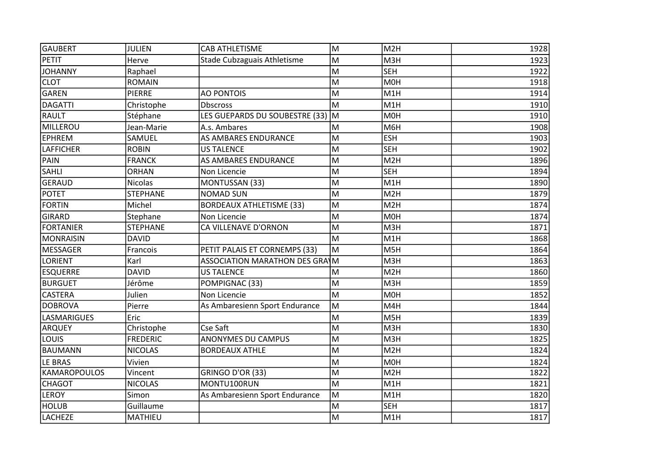| <b>GAUBERT</b>      | <b>JULIEN</b>   | <b>CAB ATHLETISME</b>           | lм | M2H              | 1928 |
|---------------------|-----------------|---------------------------------|----|------------------|------|
| <b>PETIT</b>        | Herve           | Stade Cubzaguais Athletisme     | M  | M3H              | 1923 |
| <b>JOHANNY</b>      | Raphael         |                                 | M  | <b>SEH</b>       | 1922 |
| <b>CLOT</b>         | <b>ROMAIN</b>   |                                 | M  | <b>MOH</b>       | 1918 |
| <b>GAREN</b>        | <b>PIERRE</b>   | <b>AO PONTOIS</b>               | M  | M1H              | 1914 |
| <b>DAGATTI</b>      | Christophe      | <b>Dbscross</b>                 | M  | M1H              | 1910 |
| <b>RAULT</b>        | Stéphane        | LES GUEPARDS DU SOUBESTRE (33)  | lм | <b>MOH</b>       | 1910 |
| MILLEROU            | Jean-Marie      | A.s. Ambares                    | M  | M6H              | 1908 |
| <b>EPHREM</b>       | SAMUEL          | AS AMBARES ENDURANCE            | M  | <b>ESH</b>       | 1903 |
| <b>LAFFICHER</b>    | <b>ROBIN</b>    | <b>US TALENCE</b>               | M  | <b>SEH</b>       | 1902 |
| PAIN                | <b>FRANCK</b>   | AS AMBARES ENDURANCE            | M  | M <sub>2</sub> H | 1896 |
| SAHLI               | <b>ORHAN</b>    | Non Licencie                    | M  | <b>SEH</b>       | 1894 |
| <b>GERAUD</b>       | <b>Nicolas</b>  | MONTUSSAN (33)                  | M  | M <sub>1</sub> H | 1890 |
| <b>POTET</b>        | <b>STEPHANE</b> | NOMAD SUN                       | M  | M2H              | 1879 |
| <b>FORTIN</b>       | Michel          | <b>BORDEAUX ATHLETISME (33)</b> | M  | M <sub>2</sub> H | 1874 |
| <b>GIRARD</b>       | Stephane        | Non Licencie                    | M  | M <sub>OH</sub>  | 1874 |
| <b>FORTANIER</b>    | <b>STEPHANE</b> | CA VILLENAVE D'ORNON            | M  | M3H              | 1871 |
| MONRAISIN           | <b>DAVID</b>    |                                 | lм | M1H              | 1868 |
| MESSAGER            | Francois        | PETIT PALAIS ET CORNEMPS (33)   | M  | M5H              | 1864 |
| <b>LORIENT</b>      | Karl            | ASSOCIATION MARATHON DES GRAIM  |    | M3H              | 1863 |
| <b>ESQUERRE</b>     | <b>DAVID</b>    | <b>US TALENCE</b>               | M  | M <sub>2</sub> H | 1860 |
| <b>BURGUET</b>      | Jérôme          | POMPIGNAC (33)                  | M  | M3H              | 1859 |
| <b>CASTERA</b>      | Julien          | Non Licencie                    | M  | M <sub>OH</sub>  | 1852 |
| <b>DOBROVA</b>      | Pierre          | As Ambaresienn Sport Endurance  | lм | M4H              | 1844 |
| <b>LASMARIGUES</b>  | Eric            |                                 | M  | M5H              | 1839 |
| <b>ARQUEY</b>       | Christophe      | Cse Saft                        | M  | M3H              | 1830 |
| LOUIS               | <b>FREDERIC</b> | ANONYMES DU CAMPUS              | M  | M3H              | 1825 |
| <b>BAUMANN</b>      | <b>NICOLAS</b>  | <b>BORDEAUX ATHLE</b>           | M  | M2H              | 1824 |
| LE BRAS             | Vivien          |                                 | M  | <b>MOH</b>       | 1824 |
| <b>KAMAROPOULOS</b> | Vincent         | GRINGO D'OR (33)                | M  | M <sub>2</sub> H | 1822 |
| <b>CHAGOT</b>       | <b>NICOLAS</b>  | MONTU100RUN                     | M  | M1H              | 1821 |
| LEROY               | Simon           | As Ambaresienn Sport Endurance  | M  | M1H              | 1820 |
| <b>HOLUB</b>        | Guillaume       |                                 | M  | <b>SEH</b>       | 1817 |
| <b>LACHEZE</b>      | MATHIEU         |                                 | M  | M1H              | 1817 |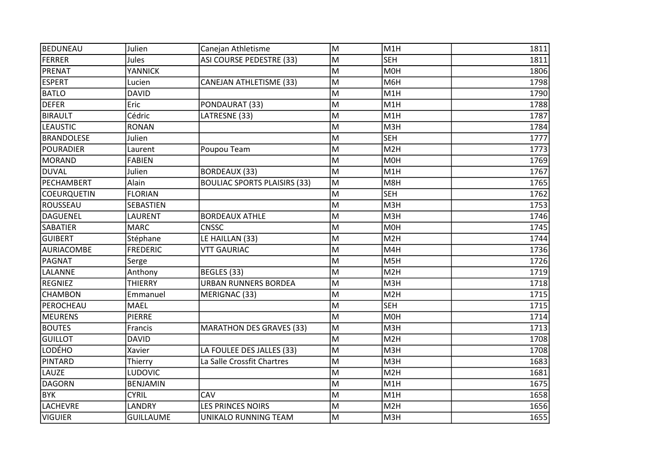| BEDUNEAU           | Julien           | Canejan Athletisme                  | M | M <sub>1</sub> H | 1811 |
|--------------------|------------------|-------------------------------------|---|------------------|------|
| <b>FERRER</b>      | Jules            | ASI COURSE PEDESTRE (33)            | M | <b>SEH</b>       | 1811 |
| PRENAT             | YANNICK          |                                     | M | <b>MOH</b>       | 1806 |
| <b>ESPERT</b>      | Lucien           | <b>CANEJAN ATHLETISME (33)</b>      | M | M6H              | 1798 |
| <b>BATLO</b>       | <b>DAVID</b>     |                                     | M | M <sub>1</sub> H | 1790 |
| <b>DEFER</b>       | Eric             | PONDAURAT (33)                      | M | M1H              | 1788 |
| <b>BIRAULT</b>     | Cédric           | LATRESNE (33)                       | M | M1H              | 1787 |
| <b>LEAUSTIC</b>    | <b>RONAN</b>     |                                     | M | M3H              | 1784 |
| <b>BRANDOLESE</b>  | Julien           |                                     | M | <b>SEH</b>       | 1777 |
| <b>POURADIER</b>   | Laurent          | Poupou Team                         | M | M <sub>2</sub> H | 1773 |
| <b>MORAND</b>      | <b>FABIEN</b>    |                                     | M | M0H              | 1769 |
| <b>DUVAL</b>       | Julien           | <b>BORDEAUX (33)</b>                | M | M1H              | 1767 |
| PECHAMBERT         | Alain            | <b>BOULIAC SPORTS PLAISIRS (33)</b> | M | M8H              | 1765 |
| <b>COEURQUETIN</b> | <b>FLORIAN</b>   |                                     | M | <b>SEH</b>       | 1762 |
| ROUSSEAU           | SEBASTIEN        |                                     | M | M3H              | 1753 |
| <b>DAGUENEL</b>    | LAURENT          | <b>BORDEAUX ATHLE</b>               | M | M3H              | 1746 |
| <b>SABATIER</b>    | <b>MARC</b>      | <b>CNSSC</b>                        | M | M0H              | 1745 |
| <b>GUIBERT</b>     | Stéphane         | LE HAILLAN (33)                     | M | M2H              | 1744 |
| AURIACOMBE         | <b>FREDERIC</b>  | <b>VTT GAURIAC</b>                  | M | M4H              | 1736 |
| <b>PAGNAT</b>      | Serge            |                                     | M | M5H              | 1726 |
| LALANNE            | Anthony          | BEGLES (33)                         | M | M <sub>2</sub> H | 1719 |
| <b>REGNIEZ</b>     | <b>THIERRY</b>   | <b>URBAN RUNNERS BORDEA</b>         | M | M3H              | 1718 |
| <b>CHAMBON</b>     | Emmanuel         | MERIGNAC (33)                       | M | M2H              | 1715 |
| PEROCHEAU          | <b>MAEL</b>      |                                     | M | <b>SEH</b>       | 1715 |
| <b>MEURENS</b>     | <b>PIERRE</b>    |                                     | M | <b>MOH</b>       | 1714 |
| <b>BOUTES</b>      | Francis          | <b>MARATHON DES GRAVES (33)</b>     | M | M3H              | 1713 |
| <b>GUILLOT</b>     | <b>DAVID</b>     |                                     | M | M <sub>2</sub> H | 1708 |
| <b>LODÉHO</b>      | Xavier           | LA FOULEE DES JALLES (33)           | M | M3H              | 1708 |
| PINTARD            | Thierry          | La Salle Crossfit Chartres          | M | M3H              | 1683 |
| <b>LAUZE</b>       | LUDOVIC          |                                     | M | M2H              | 1681 |
| <b>DAGORN</b>      | <b>BENJAMIN</b>  |                                     | M | M1H              | 1675 |
| <b>BYK</b>         | <b>CYRIL</b>     | CAV                                 | M | M <sub>1</sub> H | 1658 |
| <b>LACHEVRE</b>    | LANDRY           | <b>LES PRINCES NOIRS</b>            | M | M <sub>2</sub> H | 1656 |
| VIGUIER            | <b>GUILLAUME</b> | UNIKALO RUNNING TEAM                | M | M3H              | 1655 |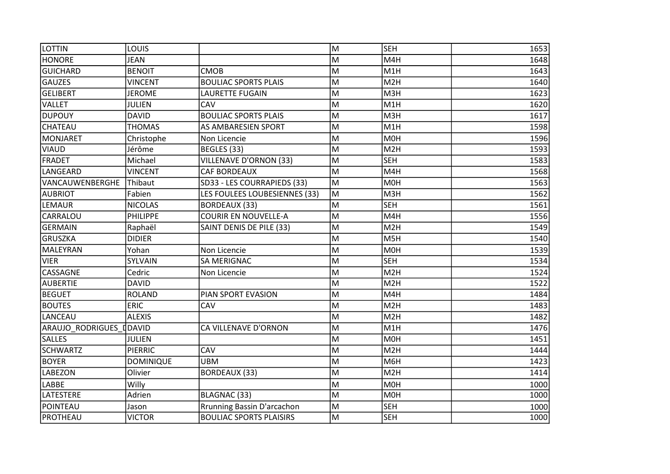| <b>LOTTIN</b>           | LOUIS            |                                   | lм | lseh             | 1653 |
|-------------------------|------------------|-----------------------------------|----|------------------|------|
| <b>HONORE</b>           | <b>JEAN</b>      |                                   | M  | M4H              | 1648 |
| <b>GUICHARD</b>         | <b>BENOIT</b>    | <b>CMOB</b>                       | M  | M <sub>1</sub> H | 1643 |
| <b>GAUZES</b>           | <b>VINCENT</b>   | <b>BOULIAC SPORTS PLAIS</b>       | M  | M2H              | 1640 |
| <b>GELIBERT</b>         | <b>JEROME</b>    | LAURETTE FUGAIN                   | M  | M3H              | 1623 |
| <b>VALLET</b>           | JULIEN           | CAV                               | M  | M1H              | 1620 |
| <b>DUPOUY</b>           | <b>DAVID</b>     | <b>BOULIAC SPORTS PLAIS</b>       | M  | M <sub>3</sub> H | 1617 |
| <b>CHATEAU</b>          | <b>THOMAS</b>    | AS AMBARESIEN SPORT               | M  | M1H              | 1598 |
| MONJARET                | Christophe       | Non Licencie                      | M  | <b>MOH</b>       | 1596 |
| <b>VIAUD</b>            | Jérôme           | BEGLES (33)                       | M  | M2H              | 1593 |
| <b>FRADET</b>           | Michael          | <b>VILLENAVE D'ORNON (33)</b>     | M  | <b>SEH</b>       | 1583 |
| LANGEARD                | <b>VINCENT</b>   | <b>CAF BORDEAUX</b>               | M  | M4H              | 1568 |
| VANCAUWENBERGHE         | Thibaut          | SD33 - LES COURRAPIEDS (33)       | M  | <b>MOH</b>       | 1563 |
| <b>AUBRIOT</b>          | Fabien           | LES FOULEES LOUBESIENNES (33)     | M  | M <sub>3</sub> H | 1562 |
| <b>LEMAUR</b>           | <b>NICOLAS</b>   | <b>BORDEAUX (33)</b>              | M  | <b>SEH</b>       | 1561 |
| CARRALOU                | PHILIPPE         | <b>COURIR EN NOUVELLE-A</b>       | M  | M4H              | 1556 |
| <b>GERMAIN</b>          | Raphaël          | SAINT DENIS DE PILE (33)          | M  | M2H              | 1549 |
| <b>GRUSZKA</b>          | <b>DIDIER</b>    |                                   | M  | M5H              | 1540 |
| MALEYRAN                | Yohan            | Non Licencie                      | M  | <b>MOH</b>       | 1539 |
| <b>VIER</b>             | SYLVAIN          | SA MERIGNAC                       | M  | <b>SEH</b>       | 1534 |
| CASSAGNE                | Cedric           | Non Licencie                      | M  | M2H              | 1524 |
| <b>AUBERTIE</b>         | <b>DAVID</b>     |                                   | M  | M2H              | 1522 |
| <b>BEGUET</b>           | <b>ROLAND</b>    | PIAN SPORT EVASION                | M  | M4H              | 1484 |
| <b>BOUTES</b>           | ERIC             | CAV                               | M  | M <sub>2</sub> H | 1483 |
| LANCEAU                 | <b>ALEXIS</b>    |                                   | M  | M <sub>2</sub> H | 1482 |
| ARAUJO_RODRIGUES_DDAVID |                  | CA VILLENAVE D'ORNON              | M  | M1H              | 1476 |
| <b>SALLES</b>           | <b>JULIEN</b>    |                                   | M  | <b>MOH</b>       | 1451 |
| <b>SCHWARTZ</b>         | <b>PIERRIC</b>   | CAV                               | M  | M2H              | 1444 |
| <b>BOYER</b>            | <b>DOMINIQUE</b> | <b>UBM</b>                        | M  | M6H              | 1423 |
| <b>LABEZON</b>          | Olivier          | <b>BORDEAUX (33)</b>              | M  | M <sub>2</sub> H | 1414 |
| <b>LABBE</b>            | Willy            |                                   | M  | <b>MOH</b>       | 1000 |
| <b>LATESTERE</b>        | Adrien           | BLAGNAC (33)                      | M  | <b>MOH</b>       | 1000 |
| POINTEAU                | Jason            | <b>Rrunning Bassin D'arcachon</b> | M  | <b>SEH</b>       | 1000 |
| PROTHEAU                | <b>VICTOR</b>    | <b>BOULIAC SPORTS PLAISIRS</b>    | M  | <b>SEH</b>       | 1000 |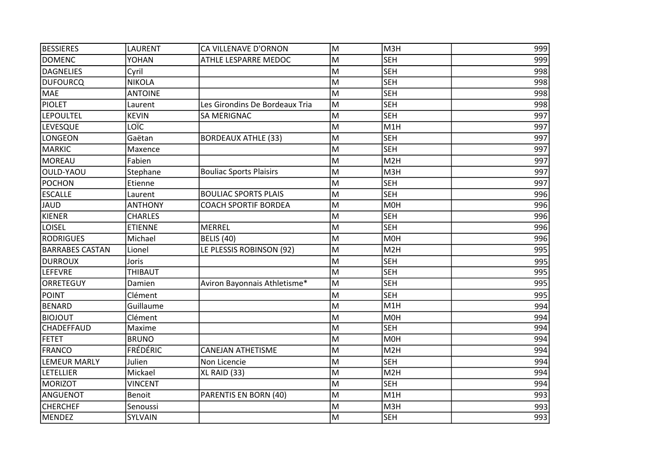| <b>BESSIERES</b>       | LAURENT         | CA VILLENAVE D'ORNON           | M | M3H              | 999 |
|------------------------|-----------------|--------------------------------|---|------------------|-----|
| <b>DOMENC</b>          | YOHAN           | ATHLE LESPARRE MEDOC           | M | <b>SEH</b>       | 999 |
| DAGNELIES              | Cyril           |                                | M | <b>SEH</b>       | 998 |
| <b>DUFOURCQ</b>        | <b>NIKOLA</b>   |                                | M | <b>SEH</b>       | 998 |
| <b>MAE</b>             | <b>ANTOINE</b>  |                                | M | <b>SEH</b>       | 998 |
| <b>PIOLET</b>          | Laurent         | Les Girondins De Bordeaux Tria | M | <b>SEH</b>       | 998 |
| <b>LEPOULTEL</b>       | <b>KEVIN</b>    | <b>SA MERIGNAC</b>             | M | <b>SEH</b>       | 997 |
| LEVESQUE               | LOÏC            |                                | M | M <sub>1</sub> H | 997 |
| <b>LONGEON</b>         | Gaëtan          | <b>BORDEAUX ATHLE (33)</b>     | M | <b>SEH</b>       | 997 |
| <b>MARKIC</b>          | Maxence         |                                | M | <b>SEH</b>       | 997 |
| <b>MOREAU</b>          | Fabien          |                                | M | M <sub>2</sub> H | 997 |
| OULD-YAOU              | Stephane        | <b>Bouliac Sports Plaisirs</b> | M | M3H              | 997 |
| <b>POCHON</b>          | Etienne         |                                | M | <b>SEH</b>       | 997 |
| <b>ESCALLE</b>         | Laurent         | <b>BOULIAC SPORTS PLAIS</b>    | M | <b>SEH</b>       | 996 |
| JAUD                   | <b>ANTHONY</b>  | <b>COACH SPORTIF BORDEA</b>    | M | <b>MOH</b>       | 996 |
| <b>KIENER</b>          | <b>CHARLES</b>  |                                | M | <b>SEH</b>       | 996 |
| <b>LOISEL</b>          | <b>ETIENNE</b>  | <b>MERREL</b>                  | M | <b>SEH</b>       | 996 |
| <b>RODRIGUES</b>       | Michael         | <b>BELIS (40)</b>              | M | <b>MOH</b>       | 996 |
| <b>BARRABES CASTAN</b> | Lionel          | LE PLESSIS ROBINSON (92)       | M | M <sub>2</sub> H | 995 |
| <b>DURROUX</b>         | Joris           |                                | M | <b>SEH</b>       | 995 |
| <b>LEFEVRE</b>         | THIBAUT         |                                | M | <b>SEH</b>       | 995 |
| ORRETEGUY              | Damien          | Aviron Bayonnais Athletisme*   | M | <b>SEH</b>       | 995 |
| <b>POINT</b>           | Clément         |                                | M | <b>SEH</b>       | 995 |
| <b>BENARD</b>          | Guillaume       |                                | M | M1H              | 994 |
| <b>BIOJOUT</b>         | Clément         |                                | M | <b>MOH</b>       | 994 |
| <b>CHADEFFAUD</b>      | Maxime          |                                | M | <b>SEH</b>       | 994 |
| <b>FETET</b>           | <b>BRUNO</b>    |                                | M | M <sub>OH</sub>  | 994 |
| <b>FRANCO</b>          | <b>FRÉDÉRIC</b> | <b>CANEJAN ATHETISME</b>       | M | M <sub>2</sub> H | 994 |
| <b>LEMEUR MARLY</b>    | Julien          | Non Licencie                   | M | <b>SEH</b>       | 994 |
| LETELLIER              | Mickael         | XL RAID (33)                   | M | M <sub>2</sub> H | 994 |
| <b>MORIZOT</b>         | <b>VINCENT</b>  |                                | M | <b>SEH</b>       | 994 |
| ANGUENOT               | Benoit          | PARENTIS EN BORN (40)          | M | M <sub>1</sub> H | 993 |
| <b>CHERCHEF</b>        | Senoussi        |                                | M | M3H              | 993 |
| MENDEZ                 | SYLVAIN         |                                | M | <b>SEH</b>       | 993 |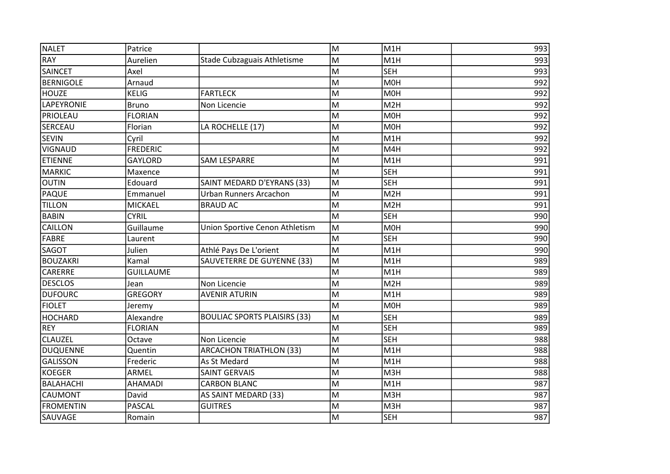| <b>NALET</b>      | Patrice          |                                     | M | M <sub>1</sub> H | 993 |
|-------------------|------------------|-------------------------------------|---|------------------|-----|
| <b>RAY</b>        | Aurelien         | Stade Cubzaguais Athletisme         | M | M <sub>1</sub> H | 993 |
| <b>SAINCET</b>    | Axel             |                                     | M | <b>SEH</b>       | 993 |
| <b>BERNIGOLE</b>  | Arnaud           |                                     | M | <b>MOH</b>       | 992 |
| <b>HOUZE</b>      | <b>KELIG</b>     | <b>FARTLECK</b>                     | M | M <sub>O</sub> H | 992 |
| <b>LAPEYRONIE</b> | <b>Bruno</b>     | Non Licencie                        | M | M <sub>2</sub> H | 992 |
| PRIOLEAU          | <b>FLORIAN</b>   |                                     | M | M <sub>OH</sub>  | 992 |
| <b>SERCEAU</b>    | Florian          | LA ROCHELLE (17)                    | M | M0H              | 992 |
| <b>SEVIN</b>      | Cyril            |                                     | M | M <sub>1</sub> H | 992 |
| <b>VIGNAUD</b>    | <b>FREDERIC</b>  |                                     | M | M4H              | 992 |
| <b>ETIENNE</b>    | <b>GAYLORD</b>   | <b>SAM LESPARRE</b>                 | M | M1H              | 991 |
| <b>MARKIC</b>     | Maxence          |                                     | M | <b>SEH</b>       | 991 |
| <b>OUTIN</b>      | Edouard          | SAINT MEDARD D'EYRANS (33)          | M | <b>SEH</b>       | 991 |
| <b>PAQUE</b>      | Emmanuel         | <b>Urban Runners Arcachon</b>       | M | M <sub>2</sub> H | 991 |
| <b>TILLON</b>     | <b>MICKAEL</b>   | <b>BRAUD AC</b>                     | M | M <sub>2</sub> H | 991 |
| <b>BABIN</b>      | <b>CYRIL</b>     |                                     | M | <b>SEH</b>       | 990 |
| <b>CAILLON</b>    | Guillaume        | Union Sportive Cenon Athletism      | M | M <sub>O</sub> H | 990 |
| <b>FABRE</b>      | Laurent          |                                     | M | <b>SEH</b>       | 990 |
| <b>SAGOT</b>      | Julien           | Athlé Pays De L'orient              | M | M1H              | 990 |
| <b>BOUZAKRI</b>   | Kamal            | SAUVETERRE DE GUYENNE (33)          | M | M <sub>1</sub> H | 989 |
| CARERRE           | <b>GUILLAUME</b> |                                     | M | M1H              | 989 |
| <b>DESCLOS</b>    | Jean             | Non Licencie                        | M | M <sub>2</sub> H | 989 |
| <b>DUFOURC</b>    | <b>GREGORY</b>   | <b>AVENIR ATURIN</b>                | M | M1H              | 989 |
| <b>FIOLET</b>     | Jeremy           |                                     | M | M <sub>O</sub> H | 989 |
| <b>HOCHARD</b>    | Alexandre        | <b>BOULIAC SPORTS PLAISIRS (33)</b> | M | <b>SEH</b>       | 989 |
| <b>REY</b>        | <b>FLORIAN</b>   |                                     | M | <b>SEH</b>       | 989 |
| <b>CLAUZEL</b>    | Octave           | Non Licencie                        | M | <b>SEH</b>       | 988 |
| <b>DUQUENNE</b>   | Quentin          | <b>ARCACHON TRIATHLON (33)</b>      | M | M <sub>1</sub> H | 988 |
| <b>GALISSON</b>   | Frederic         | As St Medard                        | M | M <sub>1</sub> H | 988 |
| <b>KOEGER</b>     | ARMEL            | <b>SAINT GERVAIS</b>                | M | M3H              | 988 |
| <b>BALAHACHI</b>  | AHAMADI          | <b>CARBON BLANC</b>                 | M | M1H              | 987 |
| <b>CAUMONT</b>    | David            | AS SAINT MEDARD (33)                | M | M3H              | 987 |
| <b>FROMENTIN</b>  | <b>PASCAL</b>    | <b>GUITRES</b>                      | M | M3H              | 987 |
| SAUVAGE           | Romain           |                                     | M | <b>SEH</b>       | 987 |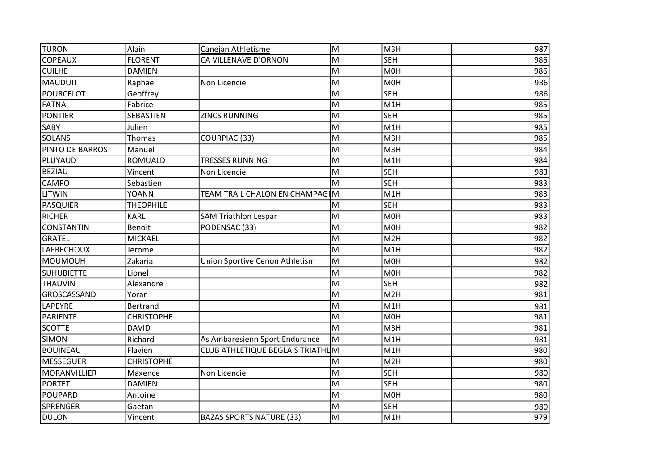| <b>TURON</b>      | Alain             | Canejan Athletisme               | M  | M3H              | 987 |
|-------------------|-------------------|----------------------------------|----|------------------|-----|
| <b>COPEAUX</b>    | <b>FLORENT</b>    | CA VILLENAVE D'ORNON             | M  | <b>SEH</b>       | 986 |
| <b>CUILHE</b>     | <b>DAMIEN</b>     |                                  | M  | <b>MOH</b>       | 986 |
| MAUDUIT           | Raphael           | Non Licencie                     | M  | <b>MOH</b>       | 986 |
| <b>POURCELOT</b>  | Geoffrey          |                                  | M  | <b>SEH</b>       | 986 |
| <b>FATNA</b>      | Fabrice           |                                  | M  | M1H              | 985 |
| <b>PONTIER</b>    | SEBASTIEN         | <b>ZINCS RUNNING</b>             | M  | <b>SEH</b>       | 985 |
| <b>SABY</b>       | Julien            |                                  | lм | M <sub>1</sub> H | 985 |
| <b>SOLANS</b>     | Thomas            | <b>COURPIAC (33)</b>             | M  | M3H              | 985 |
| PINTO DE BARROS   | Manuel            |                                  | M  | M3H              | 984 |
| PLUYAUD           | ROMUALD           | <b>TRESSES RUNNING</b>           | M  | M1H              | 984 |
| <b>BEZIAU</b>     | Vincent           | Non Licencie                     | M  | <b>SEH</b>       | 983 |
| <b>CAMPO</b>      | Sebastien         |                                  | lм | <b>SEH</b>       | 983 |
| <b>LITWIN</b>     | <b>YOANN</b>      | TEAM TRAIL CHALON EN CHAMPAGIM   |    | M1H              | 983 |
| <b>PASQUIER</b>   | <b>THEOPHILE</b>  |                                  | M  | <b>SEH</b>       | 983 |
| <b>RICHER</b>     | <b>KARL</b>       | <b>SAM Triathlon Lespar</b>      | M  | <b>MOH</b>       | 983 |
| <b>CONSTANTIN</b> | Benoit            | PODENSAC (33)                    | M  | <b>MOH</b>       | 982 |
| <b>GRATEL</b>     | <b>MICKAEL</b>    |                                  | M  | M2H              | 982 |
| <b>LAFRECHOUX</b> | Jerome            |                                  | M  | M1H              | 982 |
| MOUMOUH           | Zakaria           | Union Sportive Cenon Athletism   | M  | <b>MOH</b>       | 982 |
| <b>SUHUBIETTE</b> | Lionel            |                                  | M  | <b>MOH</b>       | 982 |
| <b>THAUVIN</b>    | Alexandre         |                                  | M  | <b>SEH</b>       | 982 |
| GROSCASSAND       | Yoran             |                                  | M  | M <sub>2</sub> H | 981 |
| LAPEYRE           | <b>Bertrand</b>   |                                  | M  | M1H              | 981 |
| PARIENTE          | <b>CHRISTOPHE</b> |                                  | M  | <b>MOH</b>       | 981 |
| <b>SCOTTE</b>     | <b>DAVID</b>      |                                  | M  | M3H              | 981 |
| <b>SIMON</b>      | Richard           | As Ambaresienn Sport Endurance   | M  | M1H              | 981 |
| <b>BOUINEAU</b>   | Flavien           | CLUB ATHLETIQUE BEGLAIS TRIATHUM |    | M <sub>1</sub> H | 980 |
| <b>MESSEGUER</b>  | <b>CHRISTOPHE</b> |                                  | M  | M <sub>2</sub> H | 980 |
| MORANVILLIER      | Maxence           | Non Licencie                     | M  | <b>SEH</b>       | 980 |
| <b>PORTET</b>     | <b>DAMIEN</b>     |                                  | M  | <b>SEH</b>       | 980 |
| POUPARD           | Antoine           |                                  | M  | <b>MOH</b>       | 980 |
| <b>SPRENGER</b>   | Gaetan            |                                  | M  | <b>SEH</b>       | 980 |
| DULON             | Vincent           | <b>BAZAS SPORTS NATURE (33)</b>  | M  | M1H              | 979 |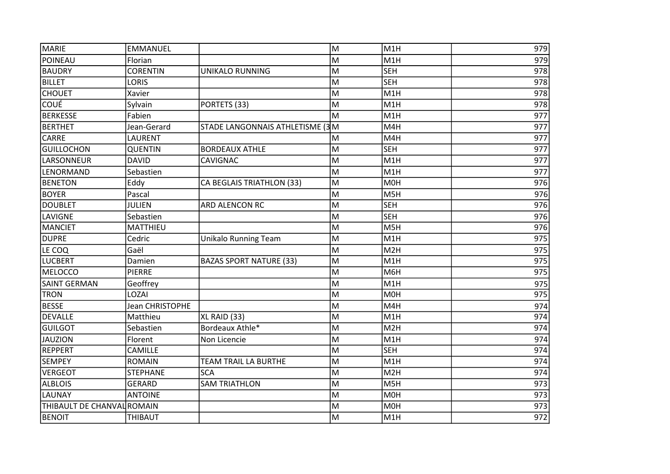| MARIE                      | <b>EMMANUEL</b> |                                 | M | M <sub>1H</sub>  | 979              |
|----------------------------|-----------------|---------------------------------|---|------------------|------------------|
| POINEAU                    | Florian         |                                 | M | M1H              | 979              |
| <b>BAUDRY</b>              | <b>CORENTIN</b> | <b>UNIKALO RUNNING</b>          | M | <b>SEH</b>       | 978              |
| <b>BILLET</b>              | <b>LORIS</b>    |                                 | M | <b>SEH</b>       | 978              |
| <b>CHOUET</b>              | Xavier          |                                 | M | M1H              | 978              |
| <b>COUÉ</b>                | Sylvain         | PORTETS (33)                    | M | M1H              | 978              |
| <b>BERKESSE</b>            | Fabien          |                                 | M | M <sub>1</sub> H | 977              |
| <b>BERTHET</b>             | Jean-Gerard     | STADE LANGONNAIS ATHLETISME (3M |   | M4H              | 977              |
| <b>CARRE</b>               | LAURENT         |                                 | M | M4H              | $\overline{977}$ |
| <b>GUILLOCHON</b>          | <b>QUENTIN</b>  | <b>BORDEAUX ATHLE</b>           | M | <b>SEH</b>       | 977              |
| LARSONNEUR                 | <b>DAVID</b>    | CAVIGNAC                        | M | M1H              | 977              |
| LENORMAND                  | Sebastien       |                                 | M | M <sub>1</sub> H | 977              |
| <b>BENETON</b>             | Eddy            | CA BEGLAIS TRIATHLON (33)       | M | <b>MOH</b>       | 976              |
| <b>BOYER</b>               | Pascal          |                                 | M | M5H              | 976              |
| <b>DOUBLET</b>             | <b>JULIEN</b>   | ARD ALENCON RC                  | M | <b>SEH</b>       | 976              |
| LAVIGNE                    | Sebastien       |                                 | M | <b>SEH</b>       | 976              |
| <b>MANCIET</b>             | MATTHIEU        |                                 | M | M5H              | 976              |
| <b>DUPRE</b>               | Cedric          | <b>Unikalo Running Team</b>     | M | M1H              | 975              |
| LE COQ                     | Gaël            |                                 | M | M2H              | 975              |
| <b>LUCBERT</b>             | Damien          | <b>BAZAS SPORT NATURE (33)</b>  | M | M1H              | 975              |
| <b>MELOCCO</b>             | <b>PIERRE</b>   |                                 | M | M6H              | 975              |
| <b>SAINT GERMAN</b>        | Geoffrey        |                                 | M | M <sub>1</sub> H | 975              |
| <b>TRON</b>                | LOZAI           |                                 | M | <b>MOH</b>       | 975              |
| <b>BESSE</b>               | Jean CHRISTOPHE |                                 | M | M4H              | 974              |
| <b>DEVALLE</b>             | Matthieu        | XL RAID (33)                    | M | M1H              | 974              |
| <b>GUILGOT</b>             | Sebastien       | Bordeaux Athle*                 | M | M2H              | 974              |
| <b>JAUZION</b>             | Florent         | Non Licencie                    | M | M1H              | 974              |
| <b>REPPERT</b>             | CAMILLE         |                                 | M | <b>SEH</b>       | 974              |
| <b>SEMPEY</b>              | <b>ROMAIN</b>   | <b>TEAM TRAIL LA BURTHE</b>     | M | M1H              | 974              |
| <b>VERGEOT</b>             | <b>STEPHANE</b> | <b>SCA</b>                      | M | M <sub>2</sub> H | 974              |
| <b>ALBLOIS</b>             | <b>GERARD</b>   | <b>SAM TRIATHLON</b>            | M | M5H              | 973              |
| <b>LAUNAY</b>              | <b>ANTOINE</b>  |                                 | M | M <sub>OH</sub>  | 973              |
| THIBAULT DE CHANVAL ROMAIN |                 |                                 | M | <b>MOH</b>       | 973              |
| <b>BENOIT</b>              | THIBAUT         |                                 | M | M1H              | 972              |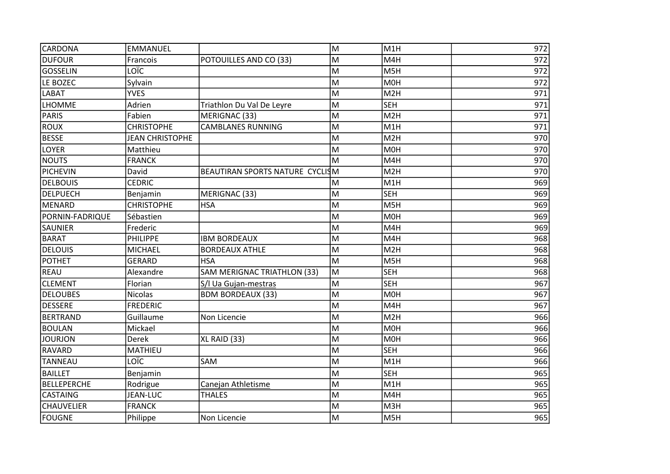| <b>CARDONA</b>     | <b>EMMANUEL</b>        |                                 | M | M <sub>1</sub> H | 972              |
|--------------------|------------------------|---------------------------------|---|------------------|------------------|
| <b>DUFOUR</b>      | Francois               | POTOUILLES AND CO (33)          | M | M4H              | 972              |
| <b>GOSSELIN</b>    | LOÏC                   |                                 | M | M5H              | $\overline{972}$ |
| LE BOZEC           | Sylvain                |                                 | M | M <sub>O</sub> H | 972              |
| <b>LABAT</b>       | <b>YVES</b>            |                                 | M | M <sub>2</sub> H | 971              |
| <b>LHOMME</b>      | Adrien                 | Triathlon Du Val De Leyre       | M | <b>SEH</b>       | 971              |
| PARIS              | Fabien                 | MERIGNAC (33)                   | M | M <sub>2</sub> H | 971              |
| <b>ROUX</b>        | <b>CHRISTOPHE</b>      | <b>CAMBLANES RUNNING</b>        | M | M <sub>1</sub> H | 971              |
| <b>BESSE</b>       | <b>JEAN CHRISTOPHE</b> |                                 | M | M <sub>2</sub> H | 970              |
| LOYER              | Matthieu               |                                 | M | <b>MOH</b>       | 970              |
| <b>NOUTS</b>       | <b>FRANCK</b>          |                                 | M | M4H              | 970              |
| PICHEVIN           | David                  | BEAUTIRAN SPORTS NATURE CYCLISM |   | M <sub>2</sub> H | 970              |
| <b>DELBOUIS</b>    | <b>CEDRIC</b>          |                                 | M | M1H              | 969              |
| <b>DELPUECH</b>    | Benjamin               | MERIGNAC (33)                   | M | <b>SEH</b>       | 969              |
| MENARD             | <b>CHRISTOPHE</b>      | <b>HSA</b>                      | M | M5H              | 969              |
| PORNIN-FADRIQUE    | Sébastien              |                                 | M | M <sub>OH</sub>  | 969              |
| <b>SAUNIER</b>     | Frederic               |                                 | M | M4H              | 969              |
| <b>BARAT</b>       | PHILIPPE               | <b>IBM BORDEAUX</b>             | M | M4H              | 968              |
| <b>DELOUIS</b>     | <b>MICHAEL</b>         | <b>BORDEAUX ATHLE</b>           | M | M <sub>2</sub> H | 968              |
| <b>POTHET</b>      | <b>GERARD</b>          | <b>HSA</b>                      | M | M5H              | 968              |
| <b>REAU</b>        | Alexandre              | SAM MERIGNAC TRIATHLON (33)     | M | <b>SEH</b>       | 968              |
| <b>CLEMENT</b>     | Florian                | S/I Ua Gujan-mestras            | M | <b>SEH</b>       | 967              |
| <b>DELOUBES</b>    | <b>Nicolas</b>         | <b>BDM BORDEAUX (33)</b>        | M | M <sub>O</sub> H | 967              |
| <b>DESSERE</b>     | <b>FREDERIC</b>        |                                 | M | M4H              | 967              |
| <b>BERTRAND</b>    | Guillaume              | Non Licencie                    | M | M <sub>2</sub> H | 966              |
| <b>BOULAN</b>      | Mickael                |                                 | M | M <sub>OH</sub>  | 966              |
| <b>JOURJON</b>     | Derek                  | XL RAID (33)                    | M | M <sub>OH</sub>  | 966              |
| <b>RAVARD</b>      | <b>MATHIEU</b>         |                                 | M | <b>SEH</b>       | 966              |
| <b>TANNEAU</b>     | LOÏC                   | SAM                             | M | M1H              | 966              |
| <b>BAILLET</b>     | Benjamin               |                                 | M | <b>SEH</b>       | 965              |
| <b>BELLEPERCHE</b> | Rodrigue               | Canejan Athletisme              | M | M <sub>1</sub> H | 965              |
| <b>CASTAING</b>    | <b>JEAN-LUC</b>        | <b>THALES</b>                   | M | M4H              | 965              |
| <b>CHAUVELIER</b>  | <b>FRANCK</b>          |                                 | M | M3H              | 965              |
| FOUGNE             | Philippe               | Non Licencie                    | M | M <sub>5</sub> H | 965              |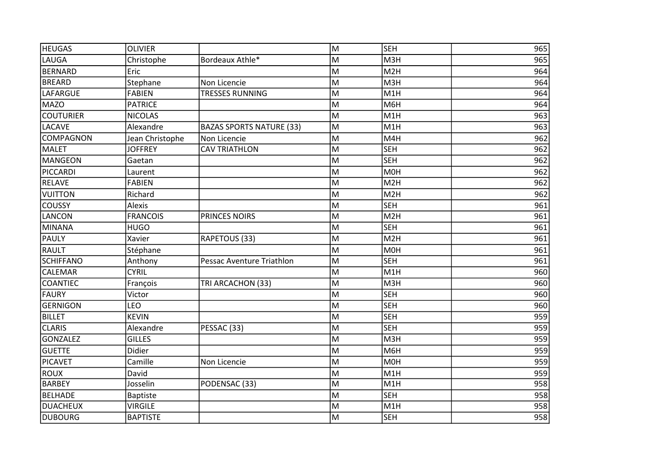| <b>HEUGAS</b>    | <b>OLIVIER</b>  |                                 | M | <b>SEH</b>       | 965 |
|------------------|-----------------|---------------------------------|---|------------------|-----|
| LAUGA            | Christophe      | Bordeaux Athle*                 | M | M3H              | 965 |
| BERNARD          | Eric            |                                 | M | M <sub>2</sub> H | 964 |
| <b>BREARD</b>    | Stephane        | Non Licencie                    | M | M3H              | 964 |
| <b>LAFARGUE</b>  | <b>FABIEN</b>   | <b>TRESSES RUNNING</b>          | M | M1H              | 964 |
| <b>MAZO</b>      | <b>PATRICE</b>  |                                 | M | M6H              | 964 |
| <b>COUTURIER</b> | <b>NICOLAS</b>  |                                 | M | M1H              | 963 |
| <b>LACAVE</b>    | Alexandre       | <b>BAZAS SPORTS NATURE (33)</b> | M | M1H              | 963 |
| <b>COMPAGNON</b> | Jean Christophe | Non Licencie                    | M | M4H              | 962 |
| MALET            | <b>JOFFREY</b>  | <b>CAV TRIATHLON</b>            | M | <b>SEH</b>       | 962 |
| <b>MANGEON</b>   | Gaetan          |                                 | M | <b>SEH</b>       | 962 |
| PICCARDI         | Laurent         |                                 | M | M <sub>O</sub> H | 962 |
| <b>RELAVE</b>    | <b>FABIEN</b>   |                                 | M | M <sub>2</sub> H | 962 |
| <b>VUITTON</b>   | Richard         |                                 | M | M <sub>2</sub> H | 962 |
| COUSSY           | <b>Alexis</b>   |                                 | M | <b>SEH</b>       | 961 |
| <b>LANCON</b>    | <b>FRANCOIS</b> | PRINCES NOIRS                   | M | M <sub>2</sub> H | 961 |
| <b>MINANA</b>    | <b>HUGO</b>     |                                 | M | <b>SEH</b>       | 961 |
| <b>PAULY</b>     | Xavier          | RAPETOUS (33)                   | M | M <sub>2</sub> H | 961 |
| RAULT            | Stéphane        |                                 | M | M0H              | 961 |
| <b>SCHIFFANO</b> | Anthony         | Pessac Aventure Triathlon       | M | <b>SEH</b>       | 961 |
| <b>CALEMAR</b>   | <b>CYRIL</b>    |                                 | M | M <sub>1</sub> H | 960 |
| <b>COANTIEC</b>  | François        | TRI ARCACHON (33)               | M | M3H              | 960 |
| <b>FAURY</b>     | Victor          |                                 | M | <b>SEH</b>       | 960 |
| <b>GERNIGON</b>  | LEO             |                                 | M | <b>SEH</b>       | 960 |
| <b>BILLET</b>    | <b>KEVIN</b>    |                                 | M | <b>SEH</b>       | 959 |
| <b>CLARIS</b>    | Alexandre       | PESSAC (33)                     | M | <b>SEH</b>       | 959 |
| <b>GONZALEZ</b>  | <b>GILLES</b>   |                                 | M | M3H              | 959 |
| <b>GUETTE</b>    | Didier          |                                 | M | M6H              | 959 |
| PICAVET          | Camille         | Non Licencie                    | M | M0H              | 959 |
| <b>ROUX</b>      | David           |                                 | M | M1H              | 959 |
| <b>BARBEY</b>    | Josselin        | PODENSAC (33)                   | M | M <sub>1</sub> H | 958 |
| <b>BELHADE</b>   | <b>Baptiste</b> |                                 | M | <b>SEH</b>       | 958 |
| <b>DUACHEUX</b>  | <b>VIRGILE</b>  |                                 | M | M1H              | 958 |
| DUBOURG          | <b>BAPTISTE</b> |                                 | M | <b>SEH</b>       | 958 |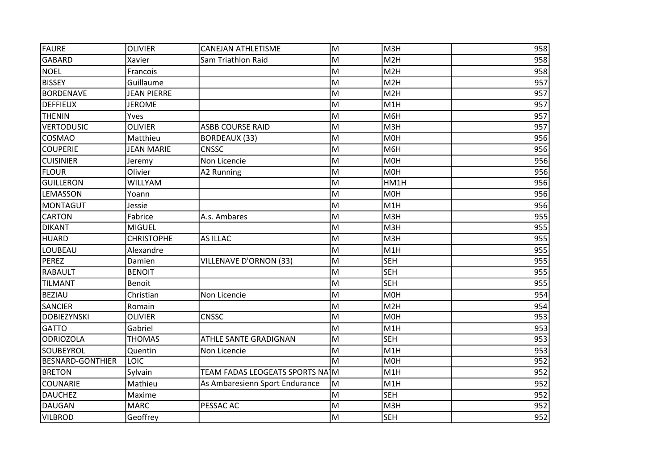| FAURE                   | <b>OLIVIER</b>     | <b>CANEJAN ATHLETISME</b>       | M | M3H              | 958 |
|-------------------------|--------------------|---------------------------------|---|------------------|-----|
| <b>GABARD</b>           | Xavier             | Sam Triathlon Raid              | M | M <sub>2</sub> H | 958 |
| NOEL                    | Francois           |                                 | M | M <sub>2</sub> H | 958 |
| <b>BISSEY</b>           | Guillaume          |                                 | M | M2H              | 957 |
| <b>BORDENAVE</b>        | <b>JEAN PIERRE</b> |                                 | M | M <sub>2</sub> H | 957 |
| <b>DEFFIEUX</b>         | <b>JEROME</b>      |                                 | M | M1H              | 957 |
| <b>THENIN</b>           | Yves               |                                 | M | M6H              | 957 |
| <b>VERTODUSIC</b>       | <b>OLIVIER</b>     | <b>ASBB COURSE RAID</b>         | M | M <sub>3</sub> H | 957 |
| <b>COSMAO</b>           | Matthieu           | <b>BORDEAUX (33)</b>            | M | M <sub>O</sub> H | 956 |
| <b>COUPERIE</b>         | <b>JEAN MARIE</b>  | <b>CNSSC</b>                    | M | M6H              | 956 |
| <b>CUISINIER</b>        | Jeremy             | Non Licencie                    | M | M <sub>OH</sub>  | 956 |
| <b>FLOUR</b>            | Olivier            | A2 Running                      | M | M <sub>O</sub> H | 956 |
| <b>GUILLERON</b>        | WILLYAM            |                                 | M | HM1H             | 956 |
| <b>LEMASSON</b>         | Yoann              |                                 | M | M <sub>O</sub> H | 956 |
| <b>MONTAGUT</b>         | Jessie             |                                 | M | M1H              | 956 |
| <b>CARTON</b>           | Fabrice            | A.s. Ambares                    | M | M3H              | 955 |
| <b>DIKANT</b>           | <b>MIGUEL</b>      |                                 | M | M3H              | 955 |
| HUARD                   | <b>CHRISTOPHE</b>  | <b>AS ILLAC</b>                 | M | M3H              | 955 |
| <b>LOUBEAU</b>          | Alexandre          |                                 | M | M1H              | 955 |
| PEREZ                   | Damien             | <b>VILLENAVE D'ORNON (33)</b>   | M | <b>SEH</b>       | 955 |
| <b>RABAULT</b>          | <b>BENOIT</b>      |                                 | M | <b>SEH</b>       | 955 |
| <b>TILMANT</b>          | Benoit             |                                 | M | <b>SEH</b>       | 955 |
| <b>BEZIAU</b>           | Christian          | Non Licencie                    | M | M <sub>O</sub> H | 954 |
| <b>SANCIER</b>          | Romain             |                                 | M | M <sub>2</sub> H | 954 |
| <b>DOBIEZYNSKI</b>      | <b>OLIVIER</b>     | <b>CNSSC</b>                    | M | M <sub>O</sub> H | 953 |
| <b>GATTO</b>            | Gabriel            |                                 | M | M1H              | 953 |
| <b>ODRIOZOLA</b>        | <b>THOMAS</b>      | ATHLE SANTE GRADIGNAN           | M | <b>SEH</b>       | 953 |
| SOUBEYROL               | Quentin            | Non Licencie                    | M | M <sub>1</sub> H | 953 |
| <b>BESNARD-GONTHIER</b> | <b>LOIC</b>        |                                 | M | M <sub>OH</sub>  | 952 |
| <b>BRETON</b>           | Sylvain            | TEAM FADAS LEOGEATS SPORTS NA M |   | M <sub>1</sub> H | 952 |
| <b>COUNARIE</b>         | Mathieu            | As Ambaresienn Sport Endurance  | M | M1H              | 952 |
| <b>DAUCHEZ</b>          | Maxime             |                                 | M | <b>SEH</b>       | 952 |
| <b>DAUGAN</b>           | <b>MARC</b>        | PESSAC AC                       | M | M3H              | 952 |
| <b>VILBROD</b>          | Geoffrey           |                                 | M | <b>SEH</b>       | 952 |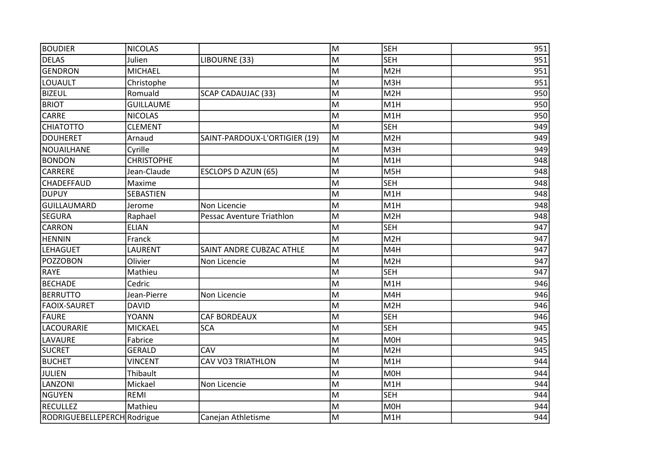| <b>BOUDIER</b>              | <b>NICOLAS</b>    |                               | M | <b>SEH</b>       | 951 |
|-----------------------------|-------------------|-------------------------------|---|------------------|-----|
| <b>DELAS</b>                | Julien            | LIBOURNE (33)                 | M | <b>SEH</b>       | 951 |
| <b>GENDRON</b>              | <b>MICHAEL</b>    |                               | M | M <sub>2</sub> H | 951 |
| LOUAULT                     | Christophe        |                               | M | M3H              | 951 |
| <b>BIZEUL</b>               | Romuald           | <b>SCAP CADAUJAC (33)</b>     | M | M2H              | 950 |
| <b>BRIOT</b>                | <b>GUILLAUME</b>  |                               | M | M1H              | 950 |
| <b>CARRE</b>                | <b>NICOLAS</b>    |                               | M | M1H              | 950 |
| <b>CHIATOTTO</b>            | <b>CLEMENT</b>    |                               | M | <b>SEH</b>       | 949 |
| <b>DOUHERET</b>             | Arnaud            | SAINT-PARDOUX-L'ORTIGIER (19) | M | M2H              | 949 |
| <b>NOUAILHANE</b>           | Cyrille           |                               | M | M3H              | 949 |
| <b>BONDON</b>               | <b>CHRISTOPHE</b> |                               | M | M1H              | 948 |
| <b>CARRERE</b>              | Jean-Claude       | ESCLOPS D AZUN (65)           | M | M5H              | 948 |
| <b>CHADEFFAUD</b>           | Maxime            |                               | M | <b>SEH</b>       | 948 |
| <b>DUPUY</b>                | SEBASTIEN         |                               | M | M1H              | 948 |
| <b>GUILLAUMARD</b>          | Jerome            | Non Licencie                  | M | M1H              | 948 |
| <b>SEGURA</b>               | Raphael           | Pessac Aventure Triathlon     | M | M <sub>2</sub> H | 948 |
| <b>CARRON</b>               | <b>ELIAN</b>      |                               | M | <b>SEH</b>       | 947 |
| <b>HENNIN</b>               | Franck            |                               | M | M2H              | 947 |
| <b>LEHAGUET</b>             | LAURENT           | SAINT ANDRE CUBZAC ATHLE      | M | M4H              | 947 |
| POZZOBON                    | Olivier           | Non Licencie                  | M | M <sub>2</sub> H | 947 |
| <b>RAYE</b>                 | Mathieu           |                               | M | <b>SEH</b>       | 947 |
| <b>BECHADE</b>              | Cedric            |                               | M | M <sub>1</sub> H | 946 |
| <b>BERRUTTO</b>             | Jean-Pierre       | Non Licencie                  | M | M4H              | 946 |
| <b>FAOIX-SAURET</b>         | <b>DAVID</b>      |                               | M | M <sub>2</sub> H | 946 |
| FAURE                       | <b>YOANN</b>      | <b>CAF BORDEAUX</b>           | M | <b>SEH</b>       | 946 |
| LACOURARIE                  | <b>MICKAEL</b>    | <b>SCA</b>                    | M | <b>SEH</b>       | 945 |
| LAVAURE                     | Fabrice           |                               | M | M <sub>O</sub> H | 945 |
| <b>SUCRET</b>               | <b>GERALD</b>     | CAV                           | M | M <sub>2</sub> H | 945 |
| <b>BUCHET</b>               | <b>VINCENT</b>    | <b>CAV VO3 TRIATHLON</b>      | M | M <sub>1</sub> H | 944 |
| JULIEN                      | Thibault          |                               | M | M0H              | 944 |
| LANZONI                     | Mickael           | Non Licencie                  | M | M1H              | 944 |
| <b>NGUYEN</b>               | REMI              |                               | M | <b>SEH</b>       | 944 |
| RECULLEZ                    | Mathieu           |                               | M | M <sub>O</sub> H | 944 |
| RODRIGUEBELLEPERCH Rodrigue |                   | Canejan Athletisme            | M | M1H              | 944 |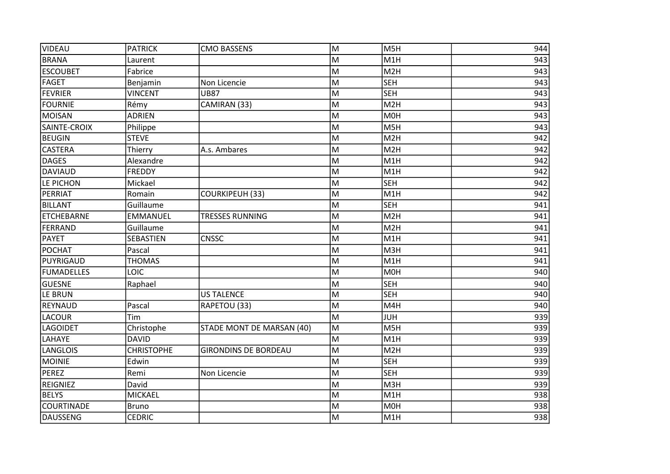| VIDEAU            | <b>PATRICK</b>    | <b>CMO BASSENS</b>          | lм | M5H              | 944 |
|-------------------|-------------------|-----------------------------|----|------------------|-----|
| <b>BRANA</b>      | Laurent           |                             | M  | M1H              | 943 |
| <b>ESCOUBET</b>   | Fabrice           |                             | M  | M2H              | 943 |
| FAGET             | Benjamin          | Non Licencie                | M  | <b>SEH</b>       | 943 |
| FEVRIER           | <b>VINCENT</b>    | <b>UB87</b>                 | M  | <b>SEH</b>       | 943 |
| <b>FOURNIE</b>    | Rémy              | CAMIRAN (33)                | M  | M <sub>2</sub> H | 943 |
| <b>MOISAN</b>     | <b>ADRIEN</b>     |                             | M  | M <sub>OH</sub>  | 943 |
| SAINTE-CROIX      | Philippe          |                             | M  | M5H              | 943 |
| BEUGIN            | <b>STEVE</b>      |                             | M  | M <sub>2H</sub>  | 942 |
| <b>CASTERA</b>    | Thierry           | A.s. Ambares                | M  | M2H              | 942 |
| <b>DAGES</b>      | Alexandre         |                             | M  | M <sub>1</sub> H | 942 |
| <b>DAVIAUD</b>    | <b>FREDDY</b>     |                             | M  | M <sub>1</sub> H | 942 |
| LE PICHON         | Mickael           |                             | M  | <b>SEH</b>       | 942 |
| PERRIAT           | Romain            | <b>COURKIPEUH (33)</b>      | M  | M <sub>1H</sub>  | 942 |
| BILLANT           | Guillaume         |                             | M  | <b>SEH</b>       | 941 |
| ETCHEBARNE        | <b>EMMANUEL</b>   | <b>TRESSES RUNNING</b>      | M  | M <sub>2</sub> H | 941 |
| FERRAND           | Guillaume         |                             | M  | M2H              | 941 |
| <b>PAYET</b>      | SEBASTIEN         | <b>CNSSC</b>                | M  | M1H              | 941 |
| POCHAT            | Pascal            |                             | M  | мзн              | 941 |
| PUYRIGAUD         | <b>THOMAS</b>     |                             | M  | M <sub>1</sub> H | 941 |
| <b>FUMADELLES</b> | LOIC              |                             | M  | <b>MOH</b>       | 940 |
| <b>GUESNE</b>     | Raphael           |                             | M  | <b>SEH</b>       | 940 |
| LE BRUN           |                   | <b>US TALENCE</b>           | M  | <b>SEH</b>       | 940 |
| REYNAUD           | Pascal            | RAPETOU (33)                | M  | M4H              | 940 |
| <b>LACOUR</b>     | Tim               |                             | M  | <b>JUH</b>       | 939 |
| <b>LAGOIDET</b>   | Christophe        | STADE MONT DE MARSAN (40)   | M  | M5H              | 939 |
| LAHAYE            | <b>DAVID</b>      |                             | M  | M <sub>1</sub> H | 939 |
| <b>LANGLOIS</b>   | <b>CHRISTOPHE</b> | <b>GIRONDINS DE BORDEAU</b> | M  | M2H              | 939 |
| MOINIE            | Edwin             |                             | M  | <b>SEH</b>       | 939 |
| PEREZ             | Remi              | Non Licencie                | M  | <b>SEH</b>       | 939 |
| REIGNIEZ          | David             |                             | M  | M3H              | 939 |
| <b>BELYS</b>      | <b>MICKAEL</b>    |                             | M  | M <sub>1</sub> H | 938 |
| <b>COURTINADE</b> | <b>Bruno</b>      |                             | M  | M0H              | 938 |
| DAUSSENG          | <b>CEDRIC</b>     |                             | M  | M1H              | 938 |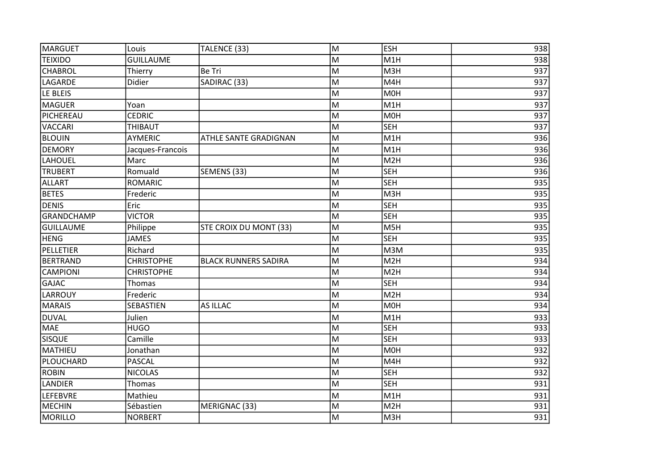| MARGUET           | Louis             | TALENCE (33)                | M | <b>ESH</b>       | 938              |
|-------------------|-------------------|-----------------------------|---|------------------|------------------|
| <b>TEIXIDO</b>    | <b>GUILLAUME</b>  |                             | M | M1H              | 938              |
| <b>CHABROL</b>    | Thierry           | Be Tri                      | M | M3H              | 937              |
| LAGARDE           | Didier            | SADIRAC (33)                | M | M4H              | 937              |
| LE BLEIS          |                   |                             | M | M <sub>O</sub> H | 937              |
| MAGUER            | Yoan              |                             | M | M1H              | 937              |
| PICHEREAU         | <b>CEDRIC</b>     |                             | M | M0H              | 937              |
| <b>VACCARI</b>    | THIBAUT           |                             | M | <b>SEH</b>       | 937              |
| <b>BLOUIN</b>     | <b>AYMERIC</b>    | ATHLE SANTE GRADIGNAN       | M | M1H              | 936              |
| <b>DEMORY</b>     | Jacques-Francois  |                             | M | M1H              | 936              |
| LAHOUEL           | Marc              |                             | M | M <sub>2</sub> H | 936              |
| <b>TRUBERT</b>    | Romuald           | SEMENS (33)                 | M | <b>SEH</b>       | 936              |
| <b>ALLART</b>     | <b>ROMARIC</b>    |                             | M | <b>SEH</b>       | 935              |
| <b>BETES</b>      | Frederic          |                             | M | M3H              | 935              |
| DENIS             | Eric              |                             | M | <b>SEH</b>       | 935              |
| <b>GRANDCHAMP</b> | <b>VICTOR</b>     |                             | M | <b>SEH</b>       | 935              |
| <b>GUILLAUME</b>  | Philippe          | STE CROIX DU MONT (33)      | M | M5H              | 935              |
| <b>HENG</b>       | <b>JAMES</b>      |                             | M | <b>SEH</b>       | $\overline{935}$ |
| PELLETIER         | Richard           |                             | M | M3M              | 935              |
| BERTRAND          | <b>CHRISTOPHE</b> | <b>BLACK RUNNERS SADIRA</b> | M | M <sub>2</sub> H | 934              |
| <b>CAMPIONI</b>   | <b>CHRISTOPHE</b> |                             | M | M <sub>2</sub> H | 934              |
| <b>GAJAC</b>      | Thomas            |                             | M | <b>SEH</b>       | 934              |
| <b>LARROUY</b>    | Frederic          |                             | M | M <sub>2</sub> H | 934              |
| MARAIS            | SEBASTIEN         | AS ILLAC                    | M | M <sub>O</sub> H | 934              |
| DUVAL             | Julien            |                             | M | M1H              | 933              |
| <b>MAE</b>        | <b>HUGO</b>       |                             | M | <b>SEH</b>       | 933              |
| <b>SISQUE</b>     | Camille           |                             | M | <b>SEH</b>       | 933              |
| <b>MATHIEU</b>    | Jonathan          |                             | M | <b>MOH</b>       | 932              |
| PLOUCHARD         | <b>PASCAL</b>     |                             | M | M4H              | 932              |
| <b>ROBIN</b>      | <b>NICOLAS</b>    |                             | M | <b>SEH</b>       | 932              |
| <b>LANDIER</b>    | Thomas            |                             | M | <b>SEH</b>       | 931              |
| <b>LEFEBVRE</b>   | Mathieu           |                             | M | M1H              | 931              |
| MECHIN            | Sébastien         | MERIGNAC (33)               | M | M <sub>2</sub> H | 931              |
| MORILLO           | <b>NORBERT</b>    |                             | M | M3H              | 931              |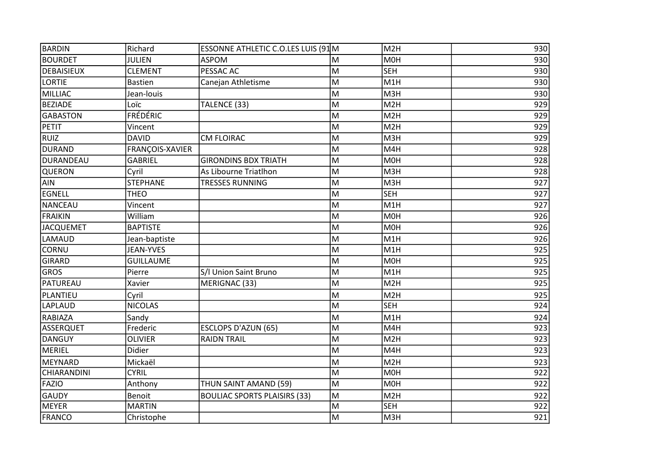| BARDIN             | Richard          | ESSONNE ATHLETIC C.O.LES LUIS (91M  |   | M <sub>2</sub> H | 930 |
|--------------------|------------------|-------------------------------------|---|------------------|-----|
| <b>BOURDET</b>     | <b>JULIEN</b>    | <b>ASPOM</b>                        | M | M0H              | 930 |
| <b>DEBAISIEUX</b>  | <b>CLEMENT</b>   | <b>PESSAC AC</b>                    | M | <b>SEH</b>       | 930 |
| <b>LORTIE</b>      | <b>Bastien</b>   | Canejan Athletisme                  | M | M <sub>1</sub> H | 930 |
| MILLIAC            | Jean-louis       |                                     | M | M3H              | 930 |
| <b>BEZIADE</b>     | Loïc             | TALENCE (33)                        | M | M <sub>2</sub> H | 929 |
| <b>GABASTON</b>    | <b>FRÉDÉRIC</b>  |                                     | M | M <sub>2</sub> H | 929 |
| PETIT              | Vincent          |                                     | M | M <sub>2</sub> H | 929 |
| <b>RUIZ</b>        | <b>DAVID</b>     | <b>CM FLOIRAC</b>                   | M | M3H              | 929 |
| DURAND             | FRANÇOIS-XAVIER  |                                     | M | M4H              | 928 |
| DURANDEAU          | <b>GABRIEL</b>   | <b>GIRONDINS BDX TRIATH</b>         | M | M0H              | 928 |
| <b>QUERON</b>      | Cyril            | As Libourne Triatlhon               | M | M3H              | 928 |
| AIN                | <b>STEPHANE</b>  | <b>TRESSES RUNNING</b>              | M | M3H              | 927 |
| <b>EGNELL</b>      | <b>THEO</b>      |                                     | M | <b>SEH</b>       | 927 |
| NANCEAU            | Vincent          |                                     | M | M1H              | 927 |
| FRAIKIN            | William          |                                     | M | M0H              | 926 |
| <b>JACQUEMET</b>   | <b>BAPTISTE</b>  |                                     | M | M0H              | 926 |
| LAMAUD             | Jean-baptiste    |                                     | M | M <sub>1</sub> H | 926 |
| <b>CORNU</b>       | <b>JEAN-YVES</b> |                                     | M | M <sub>1</sub> H | 925 |
| <b>GIRARD</b>      | <b>GUILLAUME</b> |                                     | M | M <sub>O</sub> H | 925 |
| <b>GROS</b>        | Pierre           | S/I Union Saint Bruno               | M | M1H              | 925 |
| PATUREAU           | Xavier           | MERIGNAC (33)                       | M | M <sub>2</sub> H | 925 |
| PLANTIEU           | Cyril            |                                     | M | M <sub>2</sub> H | 925 |
| <b>LAPLAUD</b>     | <b>NICOLAS</b>   |                                     | M | <b>SEH</b>       | 924 |
| <b>RABIAZA</b>     | Sandy            |                                     | M | M1H              | 924 |
| <b>ASSERQUET</b>   | Frederic         | ESCLOPS D'AZUN (65)                 | M | M4H              | 923 |
| <b>DANGUY</b>      | <b>OLIVIER</b>   | <b>RAIDN TRAIL</b>                  | M | M <sub>2</sub> H | 923 |
| MERIEL             | Didier           |                                     | M | M4H              | 923 |
| MEYNARD            | Mickaël          |                                     | M | M <sub>2</sub> H | 923 |
| <b>CHIARANDINI</b> | <b>CYRIL</b>     |                                     | M | <b>MOH</b>       | 922 |
| <b>FAZIO</b>       | Anthony          | THUN SAINT AMAND (59)               | M | M0H              | 922 |
| <b>GAUDY</b>       | Benoit           | <b>BOULIAC SPORTS PLAISIRS (33)</b> | M | M <sub>2</sub> H | 922 |
| <b>MEYER</b>       | <b>MARTIN</b>    |                                     | M | <b>SEH</b>       | 922 |
| FRANCO             | Christophe       |                                     | M | M3H              | 921 |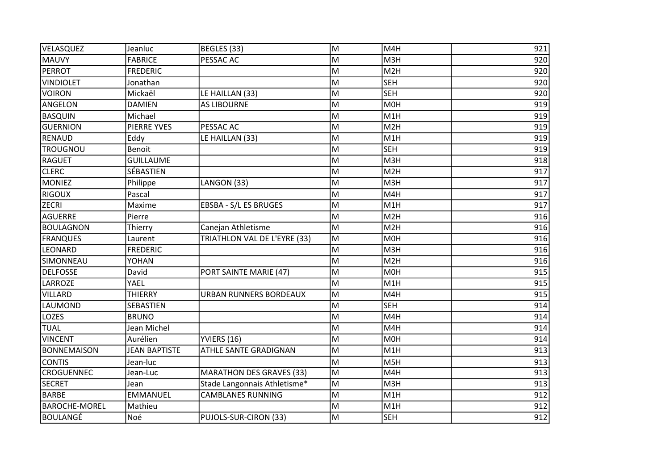| VELASQUEZ            | Jeanluc              | BEGLES (33)                     | M | M4H              | 921 |
|----------------------|----------------------|---------------------------------|---|------------------|-----|
| <b>MAUVY</b>         | <b>FABRICE</b>       | PESSAC AC                       | M | M3H              | 920 |
| PERROT               | <b>FREDERIC</b>      |                                 | M | M2H              | 920 |
| <b>VINDIOLET</b>     | Jonathan             |                                 | M | <b>SEH</b>       | 920 |
| <b>VOIRON</b>        | Mickaël              | LE HAILLAN (33)                 | M | <b>SEH</b>       | 920 |
| <b>ANGELON</b>       | <b>DAMIEN</b>        | <b>AS LIBOURNE</b>              | M | M0H              | 919 |
| BASQUIN              | Michael              |                                 | M | M1H              | 919 |
| <b>GUERNION</b>      | <b>PIERRE YVES</b>   | PESSAC AC                       | M | M <sub>2</sub> H | 919 |
| RENAUD               | Eddy                 | LE HAILLAN (33)                 | M | M <sub>1</sub> H | 919 |
| <b>TROUGNOU</b>      | Benoit               |                                 | M | <b>SEH</b>       | 919 |
| <b>RAGUET</b>        | <b>GUILLAUME</b>     |                                 | M | M3H              | 918 |
| <b>CLERC</b>         | SÉBASTIEN            |                                 | M | M <sub>2</sub> H | 917 |
| <b>MONIEZ</b>        | Philippe             | LANGON (33)                     | M | M3H              | 917 |
| <b>RIGOUX</b>        | Pascal               |                                 | M | M4H              | 917 |
| <b>ZECRI</b>         | Maxime               | EBSBA - S/L ES BRUGES           | M | M <sub>1</sub> H | 917 |
| <b>AGUERRE</b>       | Pierre               |                                 | M | M <sub>2</sub> H | 916 |
| <b>BOULAGNON</b>     | Thierry              | Canejan Athletisme              | M | M <sub>2</sub> H | 916 |
| <b>FRANQUES</b>      | Laurent              | TRIATHLON VAL DE L'EYRE (33)    | M | <b>MOH</b>       | 916 |
| <b>LEONARD</b>       | <b>FREDERIC</b>      |                                 | M | M3H              | 916 |
| SIMONNEAU            | YOHAN                |                                 | M | M <sub>2</sub> H | 916 |
| <b>DELFOSSE</b>      | David                | PORT SAINTE MARIE (47)          | M | M0H              | 915 |
| LARROZE              | YAEL                 |                                 | M | M1H              | 915 |
| <b>VILLARD</b>       | <b>THIERRY</b>       | <b>URBAN RUNNERS BORDEAUX</b>   | M | M4H              | 915 |
| LAUMOND              | SEBASTIEN            |                                 | M | <b>SEH</b>       | 914 |
| <b>LOZES</b>         | <b>BRUNO</b>         |                                 | M | M4H              | 914 |
| <b>TUAL</b>          | Jean Michel          |                                 | M | M4H              | 914 |
| <b>VINCENT</b>       | Aurélien             | YVIERS (16)                     | M | M <sub>O</sub> H | 914 |
| <b>BONNEMAISON</b>   | <b>JEAN BAPTISTE</b> | <b>ATHLE SANTE GRADIGNAN</b>    | M | M <sub>1</sub> H | 913 |
| <b>CONTIS</b>        | Jean-luc             |                                 | M | M5H              | 913 |
| <b>CROGUENNEC</b>    | Jean-Luc             | <b>MARATHON DES GRAVES (33)</b> | M | M4H              | 913 |
| <b>SECRET</b>        | Jean                 | Stade Langonnais Athletisme*    | M | M3H              | 913 |
| <b>BARBE</b>         | <b>EMMANUEL</b>      | <b>CAMBLANES RUNNING</b>        | M | M1H              | 912 |
| <b>BAROCHE-MOREL</b> | Mathieu              |                                 | M | M1H              | 912 |
| BOULANGÉ             | Noé                  | PUJOLS-SUR-CIRON (33)           | M | <b>SEH</b>       | 912 |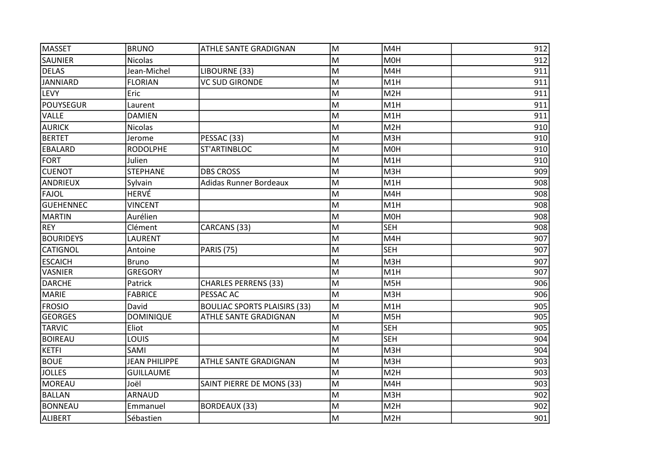| MASSET           | <b>BRUNO</b>         | ATHLE SANTE GRADIGNAN               | M | M4H              | 912 |
|------------------|----------------------|-------------------------------------|---|------------------|-----|
| SAUNIER          | <b>Nicolas</b>       |                                     | M | M <sub>O</sub> H | 912 |
| <b>DELAS</b>     | Jean-Michel          | LIBOURNE (33)                       | M | M4H              | 911 |
| <b>JANNIARD</b>  | <b>FLORIAN</b>       | <b>VC SUD GIRONDE</b>               | M | M1H              | 911 |
| <b>LEVY</b>      | Eric                 |                                     | M | M <sub>2</sub> H | 911 |
| <b>POUYSEGUR</b> | Laurent              |                                     | M | M1H              | 911 |
| <b>VALLE</b>     | <b>DAMIEN</b>        |                                     | M | M1H              | 911 |
| <b>AURICK</b>    | <b>Nicolas</b>       |                                     | M | M2H              | 910 |
| <b>BERTET</b>    | Jerome               | PESSAC (33)                         | M | M3H              | 910 |
| EBALARD          | <b>RODOLPHE</b>      | ST'ARTINBLOC                        | M | M <sub>O</sub> H | 910 |
| FORT             | Julien               |                                     | M | M1H              | 910 |
| <b>CUENOT</b>    | <b>STEPHANE</b>      | <b>DBS CROSS</b>                    | M | M3H              | 909 |
| ANDRIEUX         | Sylvain              | <b>Adidas Runner Bordeaux</b>       | M | M1H              | 908 |
| FAJOL            | HERVÉ                |                                     | M | M4H              | 908 |
| <b>GUEHENNEC</b> | <b>VINCENT</b>       |                                     | M | M1H              | 908 |
| MARTIN           | Aurélien             |                                     | M | M <sub>O</sub> H | 908 |
| REY              | Clément              | CARCANS (33)                        | M | <b>SEH</b>       | 908 |
| <b>BOURIDEYS</b> | LAURENT              |                                     | M | M4H              | 907 |
| <b>CATIGNOL</b>  | Antoine              | <b>PARIS (75)</b>                   | M | <b>SEH</b>       | 907 |
| <b>ESCAICH</b>   | <b>Bruno</b>         |                                     | M | M3H              | 907 |
| <b>VASNIER</b>   | <b>GREGORY</b>       |                                     | M | M1H              | 907 |
| <b>DARCHE</b>    | Patrick              | <b>CHARLES PERRENS (33)</b>         | M | M5H              | 906 |
| <b>MARIE</b>     | <b>FABRICE</b>       | PESSAC AC                           | M | M3H              | 906 |
| <b>FROSIO</b>    | David                | <b>BOULIAC SPORTS PLAISIRS (33)</b> | M | M1H              | 905 |
| <b>GEORGES</b>   | <b>DOMINIQUE</b>     | ATHLE SANTE GRADIGNAN               | M | M5H              | 905 |
| TARVIC           | Eliot                |                                     | M | <b>SEH</b>       | 905 |
| <b>BOIREAU</b>   | LOUIS                |                                     | M | <b>SEH</b>       | 904 |
| KETFI            | SAMI                 |                                     | M | M3H              | 904 |
| <b>BOUE</b>      | <b>JEAN PHILIPPE</b> | ATHLE SANTE GRADIGNAN               | M | M3H              | 903 |
| <b>JOLLES</b>    | <b>GUILLAUME</b>     |                                     | M | M <sub>2</sub> H | 903 |
| MOREAU           | Joël                 | SAINT PIERRE DE MONS (33)           | M | M4H              | 903 |
| <b>BALLAN</b>    | <b>ARNAUD</b>        |                                     | M | M3H              | 902 |
| BONNEAU          | Emmanuel             | <b>BORDEAUX (33)</b>                | M | M <sub>2</sub> H | 902 |
| ALIBERT          | Sébastien            |                                     | M | M2H              | 901 |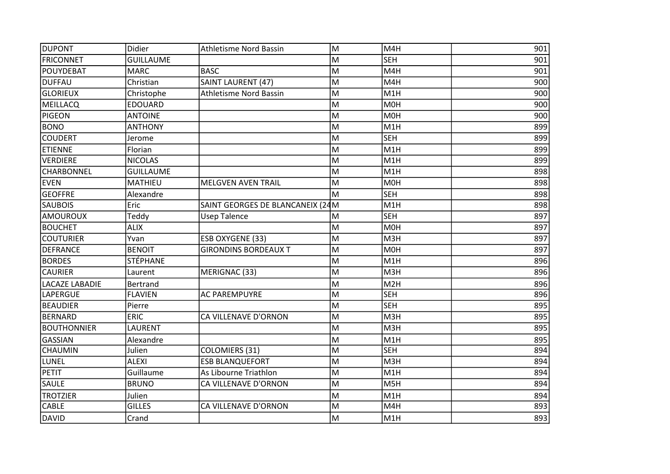| DUPONT                | Didier           | <b>Athletisme Nord Bassin</b>    | M | M4H              | 901 |
|-----------------------|------------------|----------------------------------|---|------------------|-----|
| <b>FRICONNET</b>      | <b>GUILLAUME</b> |                                  | M | <b>SEH</b>       | 901 |
| POUYDEBAT             | <b>MARC</b>      | <b>BASC</b>                      | M | M4H              | 901 |
| <b>DUFFAU</b>         | Christian        | SAINT LAURENT (47)               | M | M4H              | 900 |
| <b>GLORIEUX</b>       | Christophe       | <b>Athletisme Nord Bassin</b>    | M | M <sub>1</sub> H | 900 |
| <b>MEILLACQ</b>       | <b>EDOUARD</b>   |                                  | M | <b>MOH</b>       | 900 |
| <b>PIGEON</b>         | <b>ANTOINE</b>   |                                  | M | <b>MOH</b>       | 900 |
| <b>BONO</b>           | <b>ANTHONY</b>   |                                  | M | M <sub>1</sub> H | 899 |
| <b>COUDERT</b>        | Jerome           |                                  | M | <b>SEH</b>       | 899 |
| <b>ETIENNE</b>        | Florian          |                                  | M | M1H              | 899 |
| <b>VERDIERE</b>       | <b>NICOLAS</b>   |                                  | M | M1H              | 899 |
| CHARBONNEL            | <b>GUILLAUME</b> |                                  | M | M1H              | 898 |
| <b>EVEN</b>           | <b>MATHIEU</b>   | <b>MELGVEN AVEN TRAIL</b>        | M | M <sub>OH</sub>  | 898 |
| <b>GEOFFRE</b>        | Alexandre        |                                  | M | <b>SEH</b>       | 898 |
| <b>SAUBOIS</b>        | Eric             | SAINT GEORGES DE BLANCANEIX (24M |   | M <sub>1</sub> H | 898 |
| <b>AMOUROUX</b>       | Teddy            | <b>Usep Talence</b>              | M | <b>SEH</b>       | 897 |
| <b>BOUCHET</b>        | <b>ALIX</b>      |                                  | M | <b>MOH</b>       | 897 |
| <b>COUTURIER</b>      | Yvan             | ESB OXYGENE (33)                 | M | M <sub>3</sub> H | 897 |
| <b>DEFRANCE</b>       | <b>BENOIT</b>    | <b>GIRONDINS BORDEAUX T</b>      | M | M <sub>O</sub> H | 897 |
| <b>BORDES</b>         | <b>STÉPHANE</b>  |                                  | M | M <sub>1</sub> H | 896 |
| <b>CAURIER</b>        | Laurent          | MERIGNAC (33)                    | M | M3H              | 896 |
| <b>LACAZE LABADIE</b> | <b>Bertrand</b>  |                                  | M | M2H              | 896 |
| LAPERGUE              | <b>FLAVIEN</b>   | <b>AC PAREMPUYRE</b>             | M | <b>SEH</b>       | 896 |
| <b>BEAUDIER</b>       | Pierre           |                                  | M | <b>SEH</b>       | 895 |
| <b>BERNARD</b>        | ERIC             | CA VILLENAVE D'ORNON             | M | M3H              | 895 |
| <b>BOUTHONNIER</b>    | LAURENT          |                                  | M | M3H              | 895 |
| <b>GASSIAN</b>        | Alexandre        |                                  | M | M <sub>1</sub> H | 895 |
| <b>CHAUMIN</b>        | Julien           | <b>COLOMIERS (31)</b>            | M | <b>SEH</b>       | 894 |
| LUNEL                 | <b>ALEXI</b>     | <b>ESB BLANQUEFORT</b>           | M | M3H              | 894 |
| <b>PETIT</b>          | Guillaume        | As Libourne Triathlon            | M | M <sub>1</sub> H | 894 |
| SAULE                 | <b>BRUNO</b>     | CA VILLENAVE D'ORNON             | M | M5H              | 894 |
| <b>TROTZIER</b>       | Julien           |                                  | M | M <sub>1</sub> H | 894 |
| <b>CABLE</b>          | <b>GILLES</b>    | CA VILLENAVE D'ORNON             | M | M4H              | 893 |
| DAVID                 | Crand            |                                  | M | M1H              | 893 |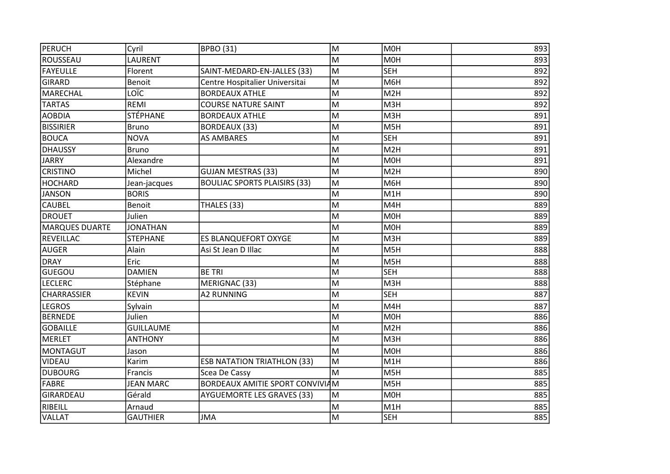| PERUCH                | Cyril            | <b>BPBO (31)</b>                    | M | <b>MOH</b>       | 893 |
|-----------------------|------------------|-------------------------------------|---|------------------|-----|
| ROUSSEAU              | LAURENT          |                                     | M | <b>MOH</b>       | 893 |
| <b>FAYEULLE</b>       | Florent          | SAINT-MEDARD-EN-JALLES (33)         | M | <b>SEH</b>       | 892 |
| <b>GIRARD</b>         | Benoit           | Centre Hospitalier Universitai      | M | M6H              | 892 |
| MARECHAL              | LOÏC             | <b>BORDEAUX ATHLE</b>               | M | M <sub>2</sub> H | 892 |
| <b>TARTAS</b>         | <b>REMI</b>      | <b>COURSE NATURE SAINT</b>          | M | M3H              | 892 |
| <b>AOBDIA</b>         | <b>STÉPHANE</b>  | <b>BORDEAUX ATHLE</b>               | M | M3H              | 891 |
| <b>BISSIRIER</b>      | <b>Bruno</b>     | <b>BORDEAUX (33)</b>                | M | M5H              | 891 |
| <b>BOUCA</b>          | <b>NOVA</b>      | <b>AS AMBARES</b>                   | M | <b>SEH</b>       | 891 |
| <b>DHAUSSY</b>        | <b>Bruno</b>     |                                     | M | M <sub>2</sub> H | 891 |
| <b>JARRY</b>          | Alexandre        |                                     | M | <b>MOH</b>       | 891 |
| <b>CRISTINO</b>       | Michel           | <b>GUJAN MESTRAS (33)</b>           | M | M <sub>2</sub> H | 890 |
| <b>HOCHARD</b>        | Jean-jacques     | <b>BOULIAC SPORTS PLAISIRS (33)</b> | M | M6H              | 890 |
| <b>JANSON</b>         | <b>BORIS</b>     |                                     | M | M <sub>1</sub> H | 890 |
| <b>CAUBEL</b>         | Benoit           | THALES (33)                         | M | M4H              | 889 |
| <b>DROUET</b>         | Julien           |                                     | M | <b>MOH</b>       | 889 |
| <b>MARQUES DUARTE</b> | <b>JONATHAN</b>  |                                     | M | <b>MOH</b>       | 889 |
| REVEILLAC             | <b>STEPHANE</b>  | <b>ES BLANQUEFORT OXYGE</b>         | M | M3H              | 889 |
| <b>AUGER</b>          | Alain            | Asi St Jean D Illac                 | M | M5H              | 888 |
| <b>DRAY</b>           | Eric             |                                     | M | M5H              | 888 |
| <b>GUEGOU</b>         | <b>DAMIEN</b>    | <b>BE TRI</b>                       | M | <b>SEH</b>       | 888 |
| <b>LECLERC</b>        | Stéphane         | MERIGNAC (33)                       | M | M3H              | 888 |
| <b>CHARRASSIER</b>    | <b>KEVIN</b>     | <b>A2 RUNNING</b>                   | M | <b>SEH</b>       | 887 |
| <b>LEGROS</b>         | Sylvain          |                                     | M | M4H              | 887 |
| <b>BERNEDE</b>        | Julien           |                                     | M | <b>MOH</b>       | 886 |
| <b>GOBAILLE</b>       | <b>GUILLAUME</b> |                                     | M | M <sub>2</sub> H | 886 |
| MERLET                | <b>ANTHONY</b>   |                                     | M | M3H              | 886 |
| MONTAGUT              | Jason            |                                     | M | M <sub>O</sub> H | 886 |
| <b>VIDEAU</b>         | Karim            | <b>ESB NATATION TRIATHLON (33)</b>  | M | M1H              | 886 |
| <b>DUBOURG</b>        | Francis          | Scea De Cassy                       | M | M5H              | 885 |
| <b>FABRE</b>          | <b>JEAN MARC</b> | BORDEAUX AMITIE SPORT CONVIVIAM     |   | M <sub>5</sub> H | 885 |
| GIRARDEAU             | Gérald           | <b>AYGUEMORTE LES GRAVES (33)</b>   | M | <b>MOH</b>       | 885 |
| RIBEILL               | Arnaud           |                                     | M | M1H              | 885 |
| VALLAT                | <b>GAUTHIER</b>  | <b>JMA</b>                          | M | <b>SEH</b>       | 885 |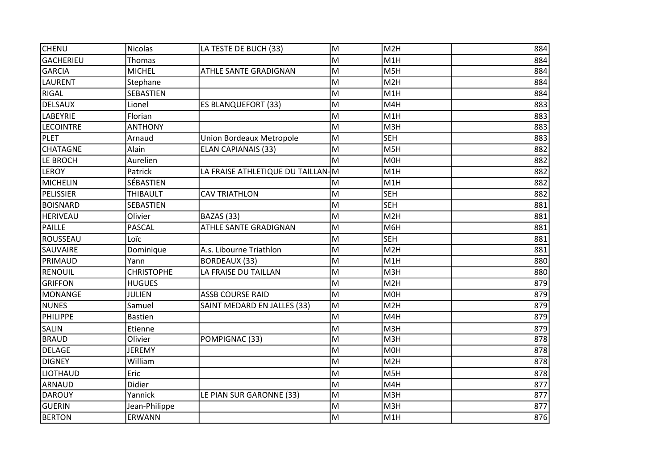| <b>CHENU</b>     | <b>Nicolas</b>    | LA TESTE DE BUCH (33)               | M | M <sub>2</sub> H | 884 |
|------------------|-------------------|-------------------------------------|---|------------------|-----|
| <b>GACHERIEU</b> | Thomas            |                                     | M | M <sub>1</sub> H | 884 |
| <b>GARCIA</b>    | <b>MICHEL</b>     | <b>ATHLE SANTE GRADIGNAN</b>        | M | M5H              | 884 |
| <b>LAURENT</b>   | Stephane          |                                     | M | M <sub>2</sub> H | 884 |
| <b>RIGAL</b>     | SEBASTIEN         |                                     | M | M <sub>1</sub> H | 884 |
| <b>DELSAUX</b>   | Lionel            | <b>ES BLANQUEFORT (33)</b>          | M | M4H              | 883 |
| <b>LABEYRIE</b>  | Florian           |                                     | M | M <sub>1</sub> H | 883 |
| <b>LECOINTRE</b> | <b>ANTHONY</b>    |                                     | M | M3H              | 883 |
| PLET             | Arnaud            | <b>Union Bordeaux Metropole</b>     | M | <b>SEH</b>       | 883 |
| <b>CHATAGNE</b>  | Alain             | <b>ELAN CAPIANAIS (33)</b>          | M | M5H              | 882 |
| LE BROCH         | Aurelien          |                                     | M | M0H              | 882 |
| <b>LEROY</b>     | Patrick           | LA FRAISE ATHLETIQUE DU TAILLAN   M |   | M1H              | 882 |
| <b>MICHELIN</b>  | SÉBASTIEN         |                                     | M | M <sub>1</sub> H | 882 |
| PELISSIER        | <b>THIBAULT</b>   | <b>CAV TRIATHLON</b>                | M | <b>SEH</b>       | 882 |
| BOISNARD         | SEBASTIEN         |                                     | M | <b>SEH</b>       | 881 |
| <b>HERIVEAU</b>  | Olivier           | BAZAS (33)                          | M | M <sub>2</sub> H | 881 |
| <b>PAILLE</b>    | <b>PASCAL</b>     | ATHLE SANTE GRADIGNAN               | M | M6H              | 881 |
| ROUSSEAU         | Loïc              |                                     | M | <b>SEH</b>       | 881 |
| <b>SAUVAIRE</b>  | Dominique         | A.s. Libourne Triathlon             | M | M <sub>2</sub> H | 881 |
| PRIMAUD          | Yann              | <b>BORDEAUX (33)</b>                | M | M <sub>1</sub> H | 880 |
| <b>RENOUIL</b>   | <b>CHRISTOPHE</b> | LA FRAISE DU TAILLAN                | M | M3H              | 880 |
| <b>GRIFFON</b>   | <b>HUGUES</b>     |                                     | M | M <sub>2</sub> H | 879 |
| <b>MONANGE</b>   | <b>JULIEN</b>     | <b>ASSB COURSE RAID</b>             | M | M <sub>O</sub> H | 879 |
| <b>NUNES</b>     | Samuel            | SAINT MEDARD EN JALLES (33)         | M | M <sub>2</sub> H | 879 |
| PHILIPPE         | <b>Bastien</b>    |                                     | M | M4H              | 879 |
| <b>SALIN</b>     | Etienne           |                                     | M | M3H              | 879 |
| <b>BRAUD</b>     | Olivier           | POMPIGNAC (33)                      | M | M3H              | 878 |
| <b>DELAGE</b>    | <b>JEREMY</b>     |                                     | M | <b>MOH</b>       | 878 |
| <b>DIGNEY</b>    | William           |                                     | M | M <sub>2</sub> H | 878 |
| LIOTHAUD         | Eric              |                                     | M | M5H              | 878 |
| <b>ARNAUD</b>    | Didier            |                                     | M | M4H              | 877 |
| <b>DAROUY</b>    | Yannick           | LE PIAN SUR GARONNE (33)            | M | M3H              | 877 |
| <b>GUERIN</b>    | Jean-Philippe     |                                     | M | M3H              | 877 |
| <b>BERTON</b>    | ERWANN            |                                     | M | M1H              | 876 |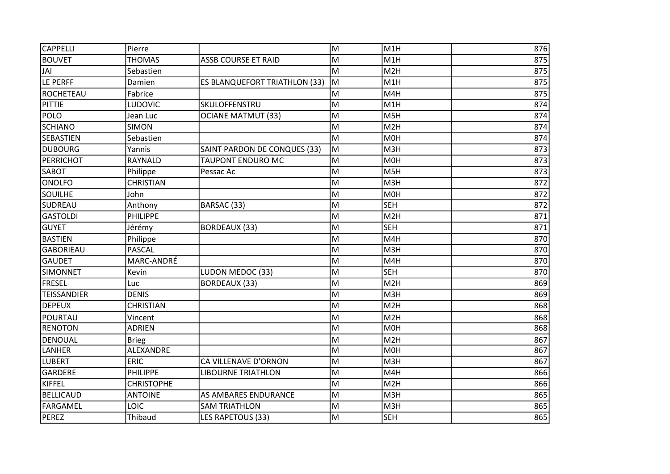| <b>CAPPELLI</b>    | Pierre            |                               | M | M <sub>1</sub> H | 876 |
|--------------------|-------------------|-------------------------------|---|------------------|-----|
| <b>BOUVET</b>      | <b>THOMAS</b>     | <b>ASSB COURSE ET RAID</b>    | M | M <sub>1</sub> H | 875 |
| JAI                | Sebastien         |                               | M | M <sub>2</sub> H | 875 |
| LE PERFF           | Damien            | ES BLANQUEFORT TRIATHLON (33) | M | M1H              | 875 |
| ROCHETEAU          | Fabrice           |                               | M | M4H              | 875 |
| <b>PITTIE</b>      | LUDOVIC           | SKULOFFENSTRU                 | M | M1H              | 874 |
| <b>POLO</b>        | Jean Luc          | <b>OCIANE MATMUT (33)</b>     | M | M5H              | 874 |
| <b>SCHIANO</b>     | <b>SIMON</b>      |                               | M | M <sub>2</sub> H | 874 |
| <b>SEBASTIEN</b>   | Sebastien         |                               | M | M <sub>O</sub> H | 874 |
| DUBOURG            | Yannis            | SAINT PARDON DE CONQUES (33)  | M | M3H              | 873 |
| PERRICHOT          | RAYNALD           | <b>TAUPONT ENDURO MC</b>      | M | M0H              | 873 |
| <b>SABOT</b>       | Philippe          | Pessac Ac                     | M | M5H              | 873 |
| <b>ONOLFO</b>      | <b>CHRISTIAN</b>  |                               | M | M3H              | 872 |
| <b>SOUILHE</b>     | John              |                               | M | M0H              | 872 |
| SUDREAU            | Anthony           | BARSAC (33)                   | M | <b>SEH</b>       | 872 |
| <b>GASTOLDI</b>    | PHILIPPE          |                               | M | M <sub>2</sub> H | 871 |
| <b>GUYET</b>       | Jérémy            | <b>BORDEAUX (33)</b>          | M | <b>SEH</b>       | 871 |
| BASTIEN            | Philippe          |                               | M | M4H              | 870 |
| <b>GABORIEAU</b>   | <b>PASCAL</b>     |                               | M | M3H              | 870 |
| <b>GAUDET</b>      | MARC-ANDRÉ        |                               | M | M4H              | 870 |
| <b>SIMONNET</b>    | Kevin             | LUDON MEDOC (33)              | M | <b>SEH</b>       | 870 |
| <b>FRESEL</b>      | Luc               | <b>BORDEAUX (33)</b>          | M | M <sub>2</sub> H | 869 |
| <b>TEISSANDIER</b> | <b>DENIS</b>      |                               | M | M <sub>3</sub> H | 869 |
| <b>DEPEUX</b>      | <b>CHRISTIAN</b>  |                               | M | M <sub>2</sub> H | 868 |
| POURTAU            | Vincent           |                               | M | M <sub>2</sub> H | 868 |
| <b>RENOTON</b>     | <b>ADRIEN</b>     |                               | M | M0H              | 868 |
| <b>DENOUAL</b>     | <b>Brieg</b>      |                               | M | M <sub>2</sub> H | 867 |
| <b>LANHER</b>      | ALEXANDRE         |                               | M | M <sub>O</sub> H | 867 |
| <b>LUBERT</b>      | <b>ERIC</b>       | CA VILLENAVE D'ORNON          | M | M3H              | 867 |
| <b>GARDERE</b>     | <b>PHILIPPE</b>   | <b>LIBOURNE TRIATHLON</b>     | M | M4H              | 866 |
| KIFFEL             | <b>CHRISTOPHE</b> |                               | M | M <sub>2</sub> H | 866 |
| <b>BELLICAUD</b>   | <b>ANTOINE</b>    | AS AMBARES ENDURANCE          | M | M3H              | 865 |
| FARGAMEL           | LOIC              | <b>SAM TRIATHLON</b>          | M | M3H              | 865 |
| PEREZ              | Thibaud           | LES RAPETOUS (33)             | M | <b>SEH</b>       | 865 |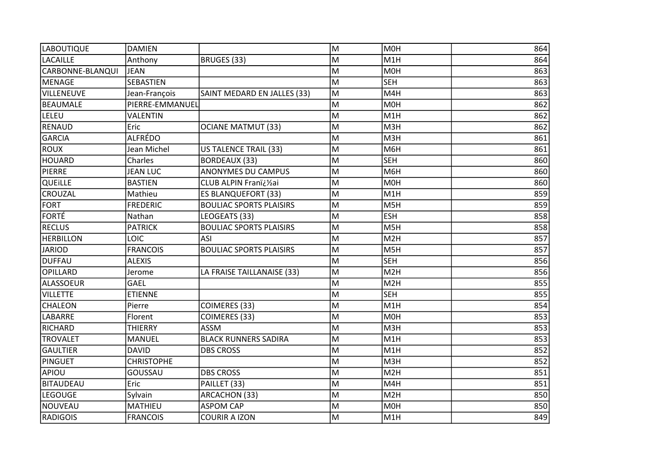| <b>LABOUTIQUE</b> | <b>DAMIEN</b>     |                                | M  | M <sub>OH</sub>  | 864 |
|-------------------|-------------------|--------------------------------|----|------------------|-----|
| <b>LACAILLE</b>   | Anthony           | BRUGES (33)                    | M  | M <sub>1</sub> H | 864 |
| CARBONNE-BLANQUI  | <b>JEAN</b>       |                                | M  | M <sub>OH</sub>  | 863 |
| MENAGE            | SEBASTIEN         |                                | M  | <b>SEH</b>       | 863 |
| VILLENEUVE        | Jean-François     | SAINT MEDARD EN JALLES (33)    | M  | M4H              | 863 |
| <b>BEAUMALE</b>   | PIERRE-EMMANUEL   |                                | M  | M0H              | 862 |
| LELEU             | <b>VALENTIN</b>   |                                | M  | M1H              | 862 |
| <b>RENAUD</b>     | Eric              | <b>OCIANE MATMUT (33)</b>      | M  | M3H              | 862 |
| <b>GARCIA</b>     | <b>ALFRÉDO</b>    |                                | M  | M3H              | 861 |
| ROUX              | Jean Michel       | US TALENCE TRAIL (33)          | M  | M6H              | 861 |
| <b>HOUARD</b>     | Charles           | <b>BORDEAUX (33)</b>           | M  | <b>SEH</b>       | 860 |
| PIERRE            | <b>JEAN LUC</b>   | ANONYMES DU CAMPUS             | M  | M6H              | 860 |
| QUEILLE           | <b>BASTIEN</b>    | CLUB ALPIN Franï¿1/2ai         | M  | M0H              | 860 |
| <b>CROUZAL</b>    | Mathieu           | <b>ES BLANQUEFORT (33)</b>     | M  | M <sub>1</sub> H | 859 |
| FORT              | <b>FREDERIC</b>   | <b>BOULIAC SPORTS PLAISIRS</b> | M  | M <sub>5</sub> H | 859 |
| <b>FORTÉ</b>      | Nathan            | LEOGEATS (33)                  | M  | <b>ESH</b>       | 858 |
| <b>RECLUS</b>     | <b>PATRICK</b>    | <b>BOULIAC SPORTS PLAISIRS</b> | M  | M <sub>5</sub> H | 858 |
| <b>HERBILLON</b>  | LOIC              | ASI                            | lм | M2H              | 857 |
| <b>JARIOD</b>     | <b>FRANCOIS</b>   | <b>BOULIAC SPORTS PLAISIRS</b> | M  | M5H              | 857 |
| <b>DUFFAU</b>     | <b>ALEXIS</b>     |                                | M  | <b>SEH</b>       | 856 |
| <b>OPILLARD</b>   | Jerome            | LA FRAISE TAILLANAISE (33)     | M  | M <sub>2</sub> H | 856 |
| <b>ALASSOEUR</b>  | GAEL              |                                | M  | M <sub>2</sub> H | 855 |
| <b>VILLETTE</b>   | <b>ETIENNE</b>    |                                | M  | <b>SEH</b>       | 855 |
| <b>CHALEON</b>    | Pierre            | COIMERES (33)                  | M  | M <sub>1</sub> H | 854 |
| <b>LABARRE</b>    | Florent           | COIMERES (33)                  | M  | <b>MOH</b>       | 853 |
| <b>RICHARD</b>    | <b>THIERRY</b>    | <b>ASSM</b>                    | M  | M3H              | 853 |
| <b>TROVALET</b>   | <b>MANUEL</b>     | <b>BLACK RUNNERS SADIRA</b>    | M  | M1H              | 853 |
| <b>GAULTIER</b>   | <b>DAVID</b>      | <b>DBS CROSS</b>               | M  | M <sub>1</sub> H | 852 |
| PINGUET           | <b>CHRISTOPHE</b> |                                | M  | M3H              | 852 |
| APIOU             | GOUSSAU           | <b>DBS CROSS</b>               | M  | M <sub>2</sub> H | 851 |
| <b>BITAUDEAU</b>  | Eric              | PAILLET (33)                   | M  | M4H              | 851 |
| <b>LEGOUGE</b>    | Sylvain           | ARCACHON (33)                  | M  | M <sub>2</sub> H | 850 |
| NOUVEAU           | MATHIEU           | <b>ASPOM CAP</b>               | M  | M0H              | 850 |
| <b>RADIGOIS</b>   | <b>FRANCOIS</b>   | <b>COURIR A IZON</b>           | M  | M1H              | 849 |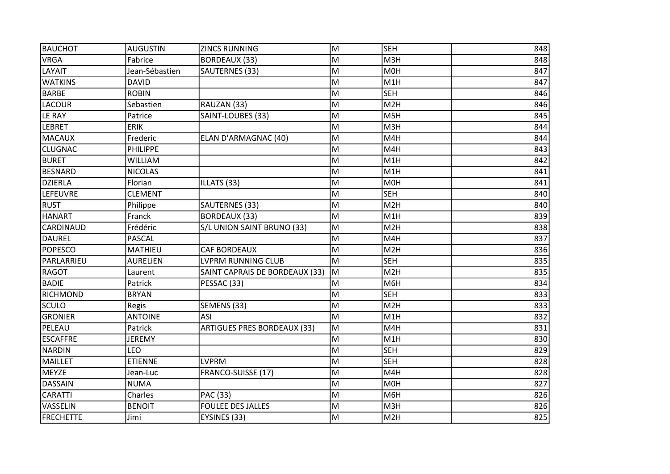| BAUCHOT          | <b>AUGUSTIN</b> | <b>ZINCS RUNNING</b>               | M | <b>SEH</b>       | 848 |
|------------------|-----------------|------------------------------------|---|------------------|-----|
| <b>VRGA</b>      | Fabrice         | <b>BORDEAUX (33)</b>               | M | M3H              | 848 |
| <b>LAYAIT</b>    | Jean-Sébastien  | SAUTERNES (33)                     | M | <b>MOH</b>       | 847 |
| <b>WATKINS</b>   | <b>DAVID</b>    |                                    | M | M <sub>1</sub> H | 847 |
| <b>BARBE</b>     | <b>ROBIN</b>    |                                    | M | <b>SEH</b>       | 846 |
| <b>LACOUR</b>    | Sebastien       | RAUZAN (33)                        | M | M <sub>2</sub> H | 846 |
| <b>LE RAY</b>    | Patrice         | SAINT-LOUBES (33)                  | M | M <sub>5</sub> H | 845 |
| LEBRET           | <b>ERIK</b>     |                                    | M | M3H              | 844 |
| MACAUX           | Frederic        | ELAN D'ARMAGNAC (40)               | M | M4H              | 844 |
| <b>CLUGNAC</b>   | PHILIPPE        |                                    | M | M4H              | 843 |
| <b>BURET</b>     | <b>WILLIAM</b>  |                                    | M | M1H              | 842 |
| <b>BESNARD</b>   | <b>NICOLAS</b>  |                                    | M | M1H              | 841 |
| DZIERLA          | Florian         | ILLATS (33)                        | M | M <sub>OH</sub>  | 841 |
| <b>LEFEUVRE</b>  | <b>CLEMENT</b>  |                                    | M | <b>SEH</b>       | 840 |
| <b>RUST</b>      | Philippe        | SAUTERNES (33)                     | M | M <sub>2</sub> H | 840 |
| <b>HANART</b>    | Franck          | <b>BORDEAUX (33)</b>               | M | M1H              | 839 |
| <b>CARDINAUD</b> | Frédéric        | S/L UNION SAINT BRUNO (33)         | M | M <sub>2</sub> H | 838 |
| DAUREL           | <b>PASCAL</b>   |                                    | M | M4H              | 837 |
| <b>POPESCO</b>   | MATHIEU         | <b>CAF BORDEAUX</b>                | M | M <sub>2</sub> H | 836 |
| PARLARRIEU       | <b>AURELIEN</b> | <b>LVPRM RUNNING CLUB</b>          | M | <b>SEH</b>       | 835 |
| <b>RAGOT</b>     | Laurent         | SAINT CAPRAIS DE BORDEAUX (33)     | M | M <sub>2</sub> H | 835 |
| <b>BADIE</b>     | Patrick         | PESSAC (33)                        | M | M6H              | 834 |
| RICHMOND         | <b>BRYAN</b>    |                                    | M | <b>SEH</b>       | 833 |
| SCULO            | Regis           | SEMENS (33)                        | M | M <sub>2</sub> H | 833 |
| <b>GRONIER</b>   | <b>ANTOINE</b>  | <b>ASI</b>                         | M | M1H              | 832 |
| PELEAU           | Patrick         | <b>ARTIGUES PRES BORDEAUX (33)</b> | M | M4H              | 831 |
| <b>ESCAFFRE</b>  | JEREMY          |                                    | M | M1H              | 830 |
| NARDIN           | <b>LEO</b>      |                                    | M | <b>SEH</b>       | 829 |
| MAILLET          | <b>ETIENNE</b>  | <b>LVPRM</b>                       | M | <b>SEH</b>       | 828 |
| MEYZE            | Jean-Luc        | FRANCO-SUISSE (17)                 | M | M4H              | 828 |
| <b>DASSAIN</b>   | <b>NUMA</b>     |                                    | M | M0H              | 827 |
| <b>CARATTI</b>   | Charles         | PAC (33)                           | M | M6H              | 826 |
| VASSELIN         | <b>BENOIT</b>   | <b>FOULEE DES JALLES</b>           | M | M3H              | 826 |
| <b>FRECHETTE</b> | Jimi            | EYSINES (33)                       | M | M <sub>2</sub> H | 825 |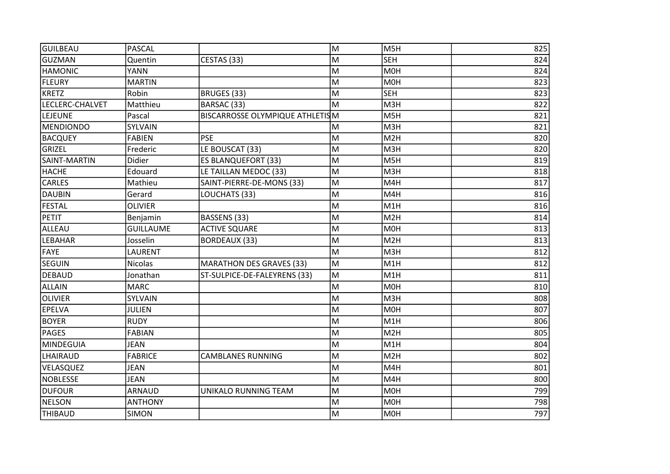| <b>GUILBEAU</b> | <b>PASCAL</b>    |                                        | M | M5H              | 825 |
|-----------------|------------------|----------------------------------------|---|------------------|-----|
| <b>GUZMAN</b>   | Quentin          | CESTAS (33)                            | M | <b>SEH</b>       | 824 |
| HAMONIC         | <b>YANN</b>      |                                        | M | <b>MOH</b>       | 824 |
| FLEURY          | <b>MARTIN</b>    |                                        | M | M <sub>O</sub> H | 823 |
| KRETZ           | Robin            | BRUGES (33)                            | M | <b>SEH</b>       | 823 |
| LECLERC-CHALVET | Matthieu         | BARSAC (33)                            | M | M3H              | 822 |
| LEJEUNE         | Pascal           | <b>BISCARROSSE OLYMPIQUE ATHLETISM</b> |   | M <sub>5</sub> H | 821 |
| MENDIONDO       | SYLVAIN          |                                        | M | M3H              | 821 |
| <b>BACQUEY</b>  | <b>FABIEN</b>    | <b>PSE</b>                             | M | M <sub>2</sub> H | 820 |
| <b>GRIZEL</b>   | Frederic         | LE BOUSCAT (33)                        | M | M3H              | 820 |
| SAINT-MARTIN    | Didier           | <b>ES BLANQUEFORT (33)</b>             | M | M5H              | 819 |
| <b>HACHE</b>    | Edouard          | LE TAILLAN MEDOC (33)                  | M | M3H              | 818 |
| <b>CARLES</b>   | Mathieu          | SAINT-PIERRE-DE-MONS (33)              | M | M4H              | 817 |
| <b>DAUBIN</b>   | Gerard           | LOUCHATS (33)                          | M | M4H              | 816 |
| FESTAL          | <b>OLIVIER</b>   |                                        | M | M1H              | 816 |
| <b>PETIT</b>    | Benjamin         | BASSENS (33)                           | M | M2H              | 814 |
| ALLEAU          | <b>GUILLAUME</b> | <b>ACTIVE SQUARE</b>                   | M | M <sub>O</sub> H | 813 |
| <b>LEBAHAR</b>  | Josselin         | BORDEAUX (33)                          | M | M <sub>2</sub> H | 813 |
| FAYE            | LAURENT          |                                        | M | M3H              | 812 |
| <b>SEGUIN</b>   | <b>Nicolas</b>   | <b>MARATHON DES GRAVES (33)</b>        | M | M1H              | 812 |
| <b>DEBAUD</b>   | Jonathan         | ST-SULPICE-DE-FALEYRENS (33)           | M | M1H              | 811 |
| <b>ALLAIN</b>   | <b>MARC</b>      |                                        | M | M <sub>OH</sub>  | 810 |
| OLIVIER         | SYLVAIN          |                                        | M | M3H              | 808 |
| <b>EPELVA</b>   | <b>JULIEN</b>    |                                        | M | M <sub>O</sub> H | 807 |
| <b>BOYER</b>    | <b>RUDY</b>      |                                        | M | M1H              | 806 |
| PAGES           | <b>FABIAN</b>    |                                        | M | M <sub>2</sub> H | 805 |
| MINDEGUIA       | <b>JEAN</b>      |                                        | M | M1H              | 804 |
| LHAIRAUD        | <b>FABRICE</b>   | <b>CAMBLANES RUNNING</b>               | M | M <sub>2</sub> H | 802 |
| VELASQUEZ       | <b>JEAN</b>      |                                        | M | M4H              | 801 |
| NOBLESSE        | <b>JEAN</b>      |                                        | M | M4H              | 800 |
| <b>DUFOUR</b>   | <b>ARNAUD</b>    | UNIKALO RUNNING TEAM                   | M | M0H              | 799 |
| <b>NELSON</b>   | <b>ANTHONY</b>   |                                        | M | M <sub>O</sub> H | 798 |
| <b>THIBAUD</b>  | <b>SIMON</b>     |                                        | M | <b>MOH</b>       | 797 |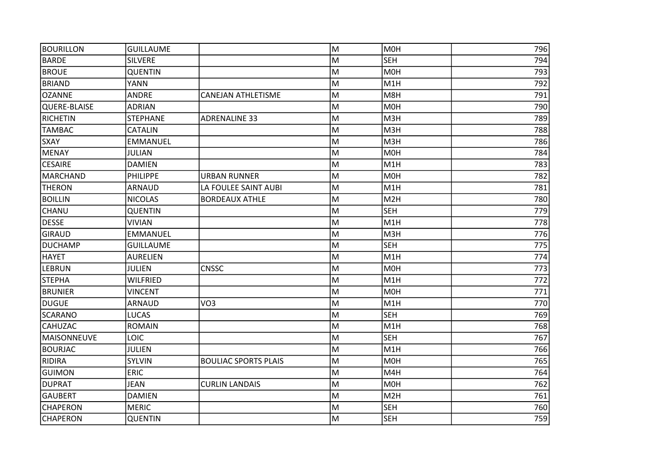| BOURILLON       | <b>GUILLAUME</b> |                             | M | M <sub>OH</sub>  | 796 |
|-----------------|------------------|-----------------------------|---|------------------|-----|
| <b>BARDE</b>    | <b>SILVERE</b>   |                             | M | <b>SEH</b>       | 794 |
| <b>BROUE</b>    | <b>QUENTIN</b>   |                             | M | M0H              | 793 |
| <b>BRIAND</b>   | <b>YANN</b>      |                             | M | M <sub>1</sub> H | 792 |
| OZANNE          | <b>ANDRE</b>     | <b>CANEJAN ATHLETISME</b>   | M | M8H              | 791 |
| QUERE-BLAISE    | <b>ADRIAN</b>    |                             | M | M <sub>OH</sub>  | 790 |
| RICHETIN        | <b>STEPHANE</b>  | <b>ADRENALINE 33</b>        | M | M3H              | 789 |
| <b>TAMBAC</b>   | <b>CATALIN</b>   |                             | M | M3H              | 788 |
| <b>SXAY</b>     | <b>EMMANUEL</b>  |                             | M | M3H              | 786 |
| MENAY           | <b>JULIAN</b>    |                             | M | M <sub>OH</sub>  | 784 |
| <b>CESAIRE</b>  | <b>DAMIEN</b>    |                             | M | M1H              | 783 |
| MARCHAND        | PHILIPPE         | <b>URBAN RUNNER</b>         | M | M <sub>OH</sub>  | 782 |
| <b>THERON</b>   | <b>ARNAUD</b>    | LA FOULEE SAINT AUBI        | M | M1H              | 781 |
| <b>BOILLIN</b>  | <b>NICOLAS</b>   | <b>BORDEAUX ATHLE</b>       | M | M2H              | 780 |
| CHANU           | <b>QUENTIN</b>   |                             | M | <b>SEH</b>       | 779 |
| <b>DESSE</b>    | <b>VIVIAN</b>    |                             | M | M1H              | 778 |
| GIRAUD          | <b>EMMANUEL</b>  |                             | M | M3H              | 776 |
| DUCHAMP         | <b>GUILLAUME</b> |                             | M | <b>SEH</b>       | 775 |
| <b>HAYET</b>    | <b>AURELIEN</b>  |                             | M | M1H              | 774 |
| <b>LEBRUN</b>   | <b>JULIEN</b>    | <b>CNSSC</b>                | M | M <sub>OH</sub>  | 773 |
| <b>STEPHA</b>   | <b>WILFRIED</b>  |                             | M | M <sub>1</sub> H | 772 |
| <b>BRUNIER</b>  | <b>VINCENT</b>   |                             | M | M <sub>OH</sub>  | 771 |
| DUGUE           | ARNAUD           | VO <sub>3</sub>             | M | M <sub>1</sub> H | 770 |
| SCARANO         | LUCAS            |                             | M | <b>SEH</b>       | 769 |
| <b>CAHUZAC</b>  | <b>ROMAIN</b>    |                             | M | M <sub>1</sub> H | 768 |
| MAISONNEUVE     | <b>LOIC</b>      |                             | M | <b>SEH</b>       | 767 |
| <b>BOURJAC</b>  | <b>JULIEN</b>    |                             | M | M <sub>1</sub> H | 766 |
| RIDIRA          | <b>SYLVIN</b>    | <b>BOULIAC SPORTS PLAIS</b> | M | M <sub>OH</sub>  | 765 |
| <b>GUIMON</b>   | <b>ERIC</b>      |                             | M | M4H              | 764 |
| DUPRAT          | <b>JEAN</b>      | <b>CURLIN LANDAIS</b>       | M | M <sub>OH</sub>  | 762 |
| GAUBERT         | <b>DAMIEN</b>    |                             | M | M <sub>2</sub> H | 761 |
| <b>CHAPERON</b> | <b>MERIC</b>     |                             | M | <b>SEH</b>       | 760 |
| <b>CHAPERON</b> | <b>QUENTIN</b>   |                             | M | <b>SEH</b>       | 759 |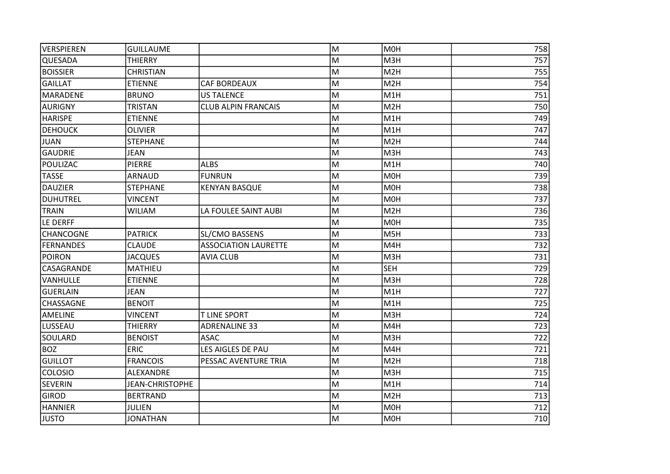| <b>VERSPIEREN</b> | <b>GUILLAUME</b>       |                             | M | M <sub>OH</sub>  | 758 |
|-------------------|------------------------|-----------------------------|---|------------------|-----|
| <b>QUESADA</b>    | <b>THIERRY</b>         |                             | M | M3H              | 757 |
| <b>BOISSIER</b>   | <b>CHRISTIAN</b>       |                             | M | M <sub>2</sub> H | 755 |
| <b>GAILLAT</b>    | <b>ETIENNE</b>         | <b>CAF BORDEAUX</b>         | M | M <sub>2</sub> H | 754 |
| MARADENE          | <b>BRUNO</b>           | <b>US TALENCE</b>           | M | M <sub>1</sub> H | 751 |
| AURIGNY           | <b>TRISTAN</b>         | <b>CLUB ALPIN FRANCAIS</b>  | M | M <sub>2</sub> H | 750 |
| <b>HARISPE</b>    | <b>ETIENNE</b>         |                             | M | M <sub>1</sub> H | 749 |
| <b>DEHOUCK</b>    | <b>OLIVIER</b>         |                             | M | M1H              | 747 |
| JUAN              | <b>STEPHANE</b>        |                             | M | M <sub>2</sub> H | 744 |
| GAUDRIE           | <b>JEAN</b>            |                             | M | M3H              | 743 |
| POULIZAC          | <b>PIERRE</b>          | <b>ALBS</b>                 | M | M1H              | 740 |
| <b>TASSE</b>      | ARNAUD                 | <b>FUNRUN</b>               | M | M <sub>O</sub> H | 739 |
| DAUZIER           | <b>STEPHANE</b>        | <b>KENYAN BASQUE</b>        | M | M <sub>OH</sub>  | 738 |
| DUHUTREL          | <b>VINCENT</b>         |                             | M | M <sub>OH</sub>  | 737 |
| <b>TRAIN</b>      | <b>WILIAM</b>          | LA FOULEE SAINT AUBI        | M | M <sub>2</sub> H | 736 |
| LE DERFF          |                        |                             | M | M <sub>O</sub> H | 735 |
| <b>CHANCOGNE</b>  | <b>PATRICK</b>         | <b>SL/CMO BASSENS</b>       | M | M5H              | 733 |
| FERNANDES         | <b>CLAUDE</b>          | <b>ASSOCIATION LAURETTE</b> | M | M4H              | 732 |
| <b>POIRON</b>     | <b>JACQUES</b>         | AVIA CLUB                   | M | M3H              | 731 |
| <b>CASAGRANDE</b> | <b>MATHIEU</b>         |                             | M | <b>SEH</b>       | 729 |
| <b>VANHULLE</b>   | <b>ETIENNE</b>         |                             | M | M3H              | 728 |
| GUERLAIN          | <b>JEAN</b>            |                             | M | M1H              | 727 |
| <b>CHASSAGNE</b>  | <b>BENOIT</b>          |                             | M | M1H              | 725 |
| <b>AMELINE</b>    | <b>VINCENT</b>         | <b>T LINE SPORT</b>         | M | M3H              | 724 |
| LUSSEAU           | <b>THIERRY</b>         | <b>ADRENALINE 33</b>        | M | M4H              | 723 |
| SOULARD           | <b>BENOIST</b>         | <b>ASAC</b>                 | M | M3H              | 722 |
| BOZ               | <b>ERIC</b>            | LES AIGLES DE PAU           | M | M4H              | 721 |
| <b>GUILLOT</b>    | <b>FRANCOIS</b>        | PESSAC AVENTURE TRIA        | M | M <sub>2H</sub>  | 718 |
| <b>COLOSIO</b>    | ALEXANDRE              |                             | M | M3H              | 715 |
| <b>SEVERIN</b>    | <b>JEAN-CHRISTOPHE</b> |                             | M | M <sub>1</sub> H | 714 |
| <b>GIROD</b>      | <b>BERTRAND</b>        |                             | M | M <sub>2</sub> H | 713 |
| <b>HANNIER</b>    | <b>JULIEN</b>          |                             | M | M <sub>O</sub> H | 712 |
| <b>JUSTO</b>      | <b>JONATHAN</b>        |                             | M | M0H              | 710 |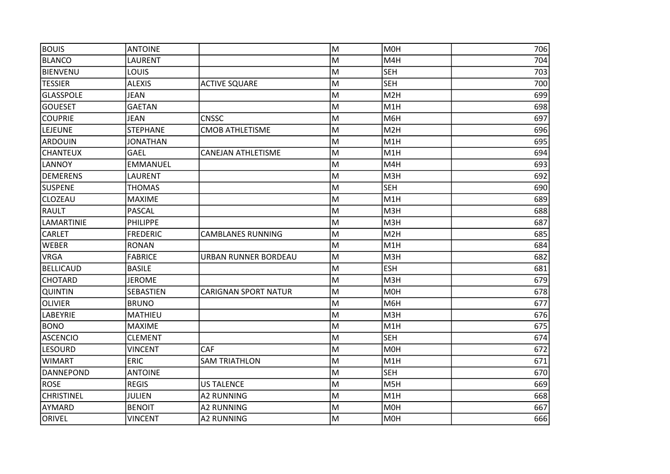| <b>BOUIS</b>      | <b>ANTOINE</b>  |                             | M | M <sub>O</sub> H | 706 |
|-------------------|-----------------|-----------------------------|---|------------------|-----|
| <b>BLANCO</b>     | LAURENT         |                             | М | M4H              | 704 |
| BIENVENU          | LOUIS           |                             | M | <b>SEH</b>       | 703 |
| <b>TESSIER</b>    | <b>ALEXIS</b>   | <b>ACTIVE SQUARE</b>        | M | <b>SEH</b>       | 700 |
| <b>GLASSPOLE</b>  | JEAN            |                             | M | M <sub>2</sub> H | 699 |
| <b>GOUESET</b>    | <b>GAETAN</b>   |                             | M | M1H              | 698 |
| <b>COUPRIE</b>    | <b>JEAN</b>     | <b>CNSSC</b>                | M | M6H              | 697 |
| LEJEUNE           | <b>STEPHANE</b> | <b>CMOB ATHLETISME</b>      | M | M <sub>2</sub> H | 696 |
| ARDOUIN           | <b>JONATHAN</b> |                             | M | M1H              | 695 |
| <b>CHANTEUX</b>   | <b>GAEL</b>     | <b>CANEJAN ATHLETISME</b>   | M | M1H              | 694 |
| <b>LANNOY</b>     | <b>EMMANUEL</b> |                             | M | M4H              | 693 |
| DEMERENS          | LAURENT         |                             | M | M3H              | 692 |
| <b>SUSPENE</b>    | <b>THOMAS</b>   |                             | M | <b>SEH</b>       | 690 |
| <b>CLOZEAU</b>    | <b>MAXIME</b>   |                             | M | M <sub>1</sub> H | 689 |
| RAULT             | <b>PASCAL</b>   |                             | M | M3H              | 688 |
| <b>LAMARTINIE</b> | PHILIPPE        |                             | M | M3H              | 687 |
| <b>CARLET</b>     | <b>FREDERIC</b> | <b>CAMBLANES RUNNING</b>    | M | M <sub>2</sub> H | 685 |
| <b>WEBER</b>      | <b>RONAN</b>    |                             | M | M1H              | 684 |
| <b>VRGA</b>       | <b>FABRICE</b>  | URBAN RUNNER BORDEAU        | M | M3H              | 682 |
| <b>BELLICAUD</b>  | <b>BASILE</b>   |                             | M | <b>ESH</b>       | 681 |
| <b>CHOTARD</b>    | <b>JEROME</b>   |                             | M | M3H              | 679 |
| <b>QUINTIN</b>    | SEBASTIEN       | <b>CARIGNAN SPORT NATUR</b> | M | M <sub>OH</sub>  | 678 |
| <b>OLIVIER</b>    | <b>BRUNO</b>    |                             | M | M6H              | 677 |
| <b>LABEYRIE</b>   | MATHIEU         |                             | M | M3H              | 676 |
| <b>BONO</b>       | <b>MAXIME</b>   |                             | M | M1H              | 675 |
| <b>ASCENCIO</b>   | <b>CLEMENT</b>  |                             | M | <b>SEH</b>       | 674 |
| <b>LESOURD</b>    | <b>VINCENT</b>  | <b>CAF</b>                  | M | M <sub>OH</sub>  | 672 |
| <b>WIMART</b>     | <b>ERIC</b>     | <b>SAM TRIATHLON</b>        | M | M1H              | 671 |
| <b>DANNEPOND</b>  | <b>ANTOINE</b>  |                             | M | <b>SEH</b>       | 670 |
| <b>ROSE</b>       | <b>REGIS</b>    | <b>US TALENCE</b>           | M | M5H              | 669 |
| <b>CHRISTINEL</b> | <b>JULIEN</b>   | <b>A2 RUNNING</b>           | M | M1H              | 668 |
| <b>AYMARD</b>     | <b>BENOIT</b>   | <b>A2 RUNNING</b>           | M | M <sub>O</sub> H | 667 |
| ORIVEL            | <b>VINCENT</b>  | <b>A2 RUNNING</b>           | M | M0H              | 666 |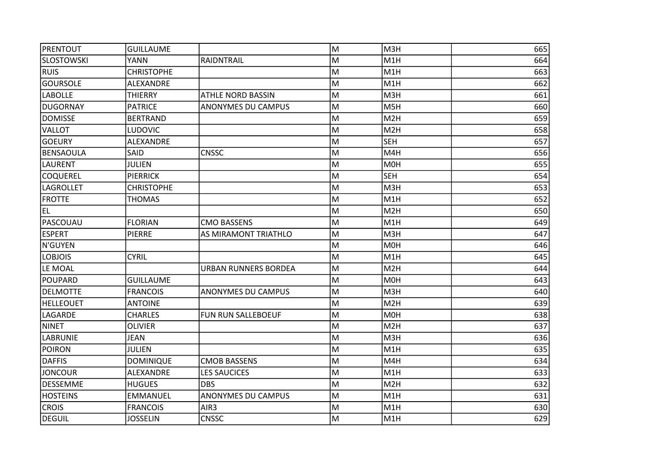| PRENTOUT          | <b>GUILLAUME</b>  |                             | M | M3H              | 665 |
|-------------------|-------------------|-----------------------------|---|------------------|-----|
| <b>SLOSTOWSKI</b> | <b>YANN</b>       | RAIDNTRAIL                  | м | M <sub>1</sub> H | 664 |
| <b>RUIS</b>       | <b>CHRISTOPHE</b> |                             | М | M <sub>1</sub> H | 663 |
| <b>GOURSOLE</b>   | ALEXANDRE         |                             | M | M <sub>1</sub> H | 662 |
| <b>LABOLLE</b>    | <b>THIERRY</b>    | <b>ATHLE NORD BASSIN</b>    | M | M3H              | 661 |
| <b>DUGORNAY</b>   | <b>PATRICE</b>    | ANONYMES DU CAMPUS          | M | M <sub>5</sub> H | 660 |
| <b>DOMISSE</b>    | <b>BERTRAND</b>   |                             | M | M <sub>2</sub> H | 659 |
| <b>VALLOT</b>     | <b>LUDOVIC</b>    |                             | M | M <sub>2</sub> H | 658 |
| <b>GOEURY</b>     | ALEXANDRE         |                             | M | <b>SEH</b>       | 657 |
| BENSAOULA         | SAID              | <b>CNSSC</b>                | M | M4H              | 656 |
| <b>LAURENT</b>    | <b>JULIEN</b>     |                             | M | M <sub>OH</sub>  | 655 |
| <b>COQUEREL</b>   | <b>PIERRICK</b>   |                             | M | <b>SEH</b>       | 654 |
| <b>LAGROLLET</b>  | <b>CHRISTOPHE</b> |                             | M | M3H              | 653 |
| <b>FROTTE</b>     | <b>THOMAS</b>     |                             | M | M <sub>1</sub> H | 652 |
| EL.               |                   |                             | M | M <sub>2</sub> H | 650 |
| PASCOUAU          | <b>FLORIAN</b>    | <b>CMO BASSENS</b>          | M | M1H              | 649 |
| <b>ESPERT</b>     | <b>PIERRE</b>     | AS MIRAMONT TRIATHLO        | M | M3H              | 647 |
| N'GUYEN           |                   |                             | M | M0H              | 646 |
| <b>LOBJOIS</b>    | <b>CYRIL</b>      |                             | M | M1H              | 645 |
| LE MOAL           |                   | <b>URBAN RUNNERS BORDEA</b> | M | M <sub>2</sub> H | 644 |
| POUPARD           | <b>GUILLAUME</b>  |                             | M | M0H              | 643 |
| DELMOTTE          | <b>FRANCOIS</b>   | ANONYMES DU CAMPUS          | M | M3H              | 640 |
| HELLEOUET         | <b>ANTOINE</b>    |                             | M | M <sub>2</sub> H | 639 |
| LAGARDE           | <b>CHARLES</b>    | FUN RUN SALLEBOEUF          | M | M0H              | 638 |
| NINET             | <b>OLIVIER</b>    |                             | M | M <sub>2</sub> H | 637 |
| <b>LABRUNIE</b>   | <b>JEAN</b>       |                             | M | M3H              | 636 |
| <b>POIRON</b>     | <b>JULIEN</b>     |                             | M | M <sub>1</sub> H | 635 |
| <b>DAFFIS</b>     | <b>DOMINIQUE</b>  | <b>CMOB BASSENS</b>         | M | M4H              | 634 |
| <b>JONCOUR</b>    | ALEXANDRE         | <b>LES SAUCICES</b>         | M | M1H              | 633 |
| DESSEMME          | <b>HUGUES</b>     | <b>DBS</b>                  | M | M <sub>2</sub> H | 632 |
| <b>HOSTEINS</b>   | <b>EMMANUEL</b>   | <b>ANONYMES DU CAMPUS</b>   | M | M1H              | 631 |
| <b>CROIS</b>      | <b>FRANCOIS</b>   | AIR <sub>3</sub>            | M | M1H              | 630 |
| DEGUIL            | <b>JOSSELIN</b>   | <b>CNSSC</b>                | M | M1H              | 629 |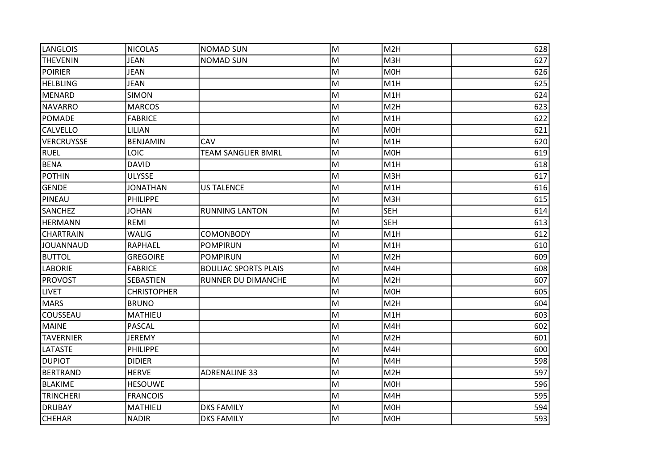| LANGLOIS          | <b>NICOLAS</b>     | <b>NOMAD SUN</b>            | M | M2H              | 628 |
|-------------------|--------------------|-----------------------------|---|------------------|-----|
| <b>THEVENIN</b>   | <b>JEAN</b>        | <b>NOMAD SUN</b>            | M | M3H              | 627 |
| <b>POIRIER</b>    | <b>JEAN</b>        |                             | M | M0H              | 626 |
| <b>HELBLING</b>   | <b>JEAN</b>        |                             | M | M1H              | 625 |
| MENARD            | <b>SIMON</b>       |                             | M | M1H              | 624 |
| NAVARRO           | <b>MARCOS</b>      |                             | M | M2H              | 623 |
| POMADE            | <b>FABRICE</b>     |                             | M | M1H              | 622 |
| <b>CALVELLO</b>   | LILIAN             |                             | M | M0H              | 621 |
| <b>VERCRUYSSE</b> | <b>BENJAMIN</b>    | <b>CAV</b>                  | M | M <sub>1</sub> H | 620 |
| <b>RUEL</b>       | LOIC               | <b>TEAM SANGLIER BMRL</b>   | M | M0H              | 619 |
| BENA              | <b>DAVID</b>       |                             | M | M1H              | 618 |
| <b>POTHIN</b>     | <b>ULYSSE</b>      |                             | M | M3H              | 617 |
| GENDE             | <b>JONATHAN</b>    | <b>US TALENCE</b>           | M | M1H              | 616 |
| PINEAU            | <b>PHILIPPE</b>    |                             | M | M3H              | 615 |
| <b>SANCHEZ</b>    | <b>JOHAN</b>       | <b>RUNNING LANTON</b>       | M | <b>SEH</b>       | 614 |
| <b>HERMANN</b>    | REMI               |                             | M | <b>SEH</b>       | 613 |
| <b>CHARTRAIN</b>  | <b>WALIG</b>       | <b>COMONBODY</b>            | M | M1H              | 612 |
| <b>JOUANNAUD</b>  | RAPHAEL            | <b>POMPIRUN</b>             | M | M1H              | 610 |
| <b>BUTTOL</b>     | <b>GREGOIRE</b>    | <b>POMPIRUN</b>             | M | M <sub>2</sub> H | 609 |
| <b>LABORIE</b>    | <b>FABRICE</b>     | <b>BOULIAC SPORTS PLAIS</b> | M | M4H              | 608 |
| <b>PROVOST</b>    | SEBASTIEN          | RUNNER DU DIMANCHE          | M | M <sub>2</sub> H | 607 |
| <b>LIVET</b>      | <b>CHRISTOPHER</b> |                             | M | M <sub>OH</sub>  | 605 |
| MARS              | <b>BRUNO</b>       |                             | M | M <sub>2</sub> H | 604 |
| COUSSEAU          | <b>MATHIEU</b>     |                             | M | M1H              | 603 |
| MAINE             | <b>PASCAL</b>      |                             | M | M4H              | 602 |
| <b>TAVERNIER</b>  | <b>JEREMY</b>      |                             | M | M <sub>2</sub> H | 601 |
| <b>LATASTE</b>    | <b>PHILIPPE</b>    |                             | M | M4H              | 600 |
| <b>DUPIOT</b>     | <b>DIDIER</b>      |                             | M | M4H              | 598 |
| BERTRAND          | <b>HERVE</b>       | <b>ADRENALINE 33</b>        | M | M <sub>2</sub> H | 597 |
| BLAKIME           | <b>HESOUWE</b>     |                             | M | M <sub>OH</sub>  | 596 |
| <b>TRINCHERI</b>  | <b>FRANCOIS</b>    |                             | M | M4H              | 595 |
| <b>DRUBAY</b>     | MATHIEU            | <b>DKS FAMILY</b>           | M | M0H              | 594 |
| <b>CHEHAR</b>     | <b>NADIR</b>       | <b>DKS FAMILY</b>           | M | M0H              | 593 |